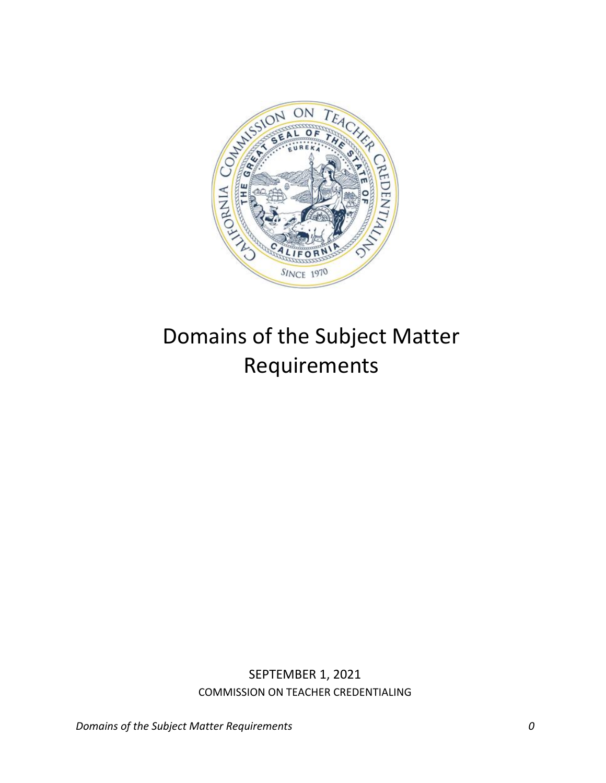

# Domains of the Subject Matter Requirements

SEPTEMBER 1, 2021 COMMISSION ON TEACHER CREDENTIALING

*Domains of the Subject Matter Requirements 0*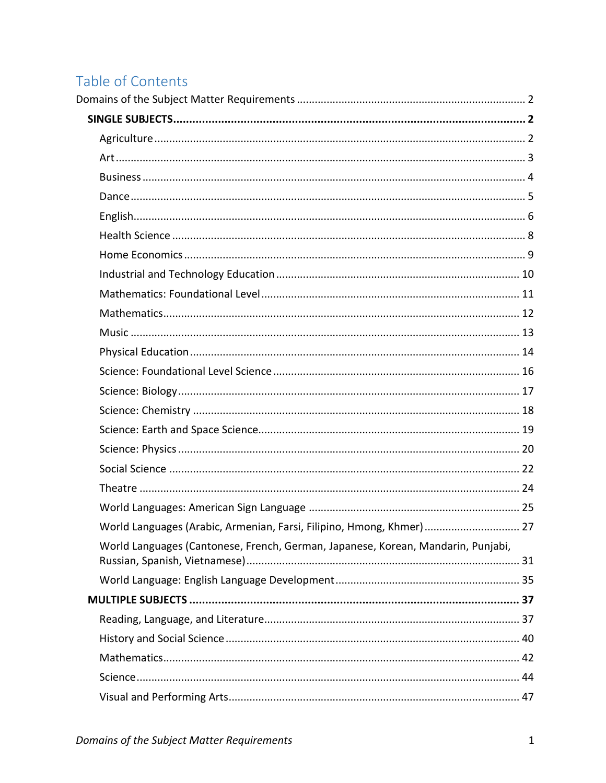## Table of Contents

| World Languages (Arabic, Armenian, Farsi, Filipino, Hmong, Khmer)  27            |  |
|----------------------------------------------------------------------------------|--|
| World Languages (Cantonese, French, German, Japanese, Korean, Mandarin, Punjabi, |  |
|                                                                                  |  |
|                                                                                  |  |
|                                                                                  |  |
|                                                                                  |  |
|                                                                                  |  |
|                                                                                  |  |
|                                                                                  |  |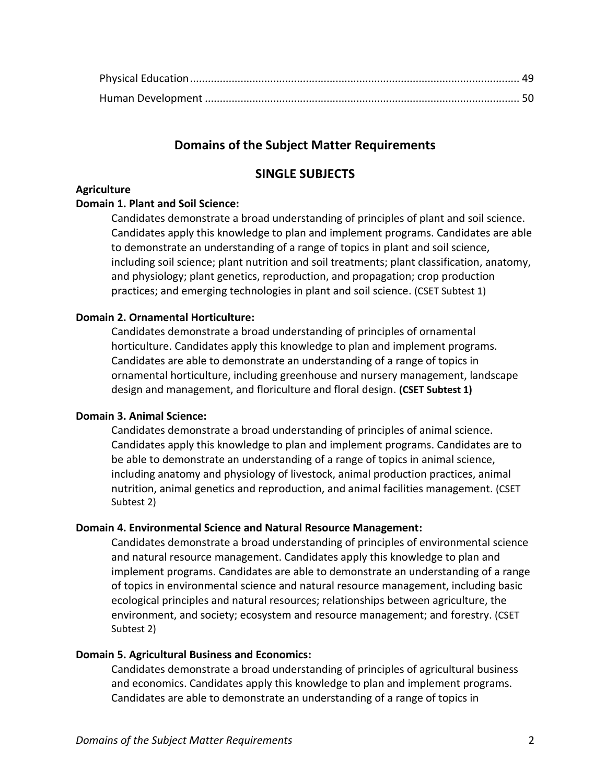## **Domains of the Subject Matter Requirements**

## **SINGLE SUBJECTS**

## <span id="page-2-2"></span><span id="page-2-1"></span><span id="page-2-0"></span>**Agriculture**

## **Domain 1. Plant and Soil Science:**

Candidates demonstrate a broad understanding of principles of plant and soil science. Candidates apply this knowledge to plan and implement programs. Candidates are able to demonstrate an understanding of a range of topics in plant and soil science, including soil science; plant nutrition and soil treatments; plant classification, anatomy, and physiology; plant genetics, reproduction, and propagation; crop production practices; and emerging technologies in plant and soil science. (CSET Subtest 1)

## **Domain 2. Ornamental Horticulture:**

Candidates demonstrate a broad understanding of principles of ornamental horticulture. Candidates apply this knowledge to plan and implement programs. Candidates are able to demonstrate an understanding of a range of topics in ornamental horticulture, including greenhouse and nursery management, landscape design and management, and floriculture and floral design. **(CSET Subtest 1)**

## **Domain 3. Animal Science:**

Candidates demonstrate a broad understanding of principles of animal science. Candidates apply this knowledge to plan and implement programs. Candidates are to be able to demonstrate an understanding of a range of topics in animal science, including anatomy and physiology of livestock, animal production practices, animal nutrition, animal genetics and reproduction, and animal facilities management. (CSET Subtest 2)

## **Domain 4. Environmental Science and Natural Resource Management:**

Candidates demonstrate a broad understanding of principles of environmental science and natural resource management. Candidates apply this knowledge to plan and implement programs. Candidates are able to demonstrate an understanding of a range of topics in environmental science and natural resource management, including basic ecological principles and natural resources; relationships between agriculture, the environment, and society; ecosystem and resource management; and forestry. (CSET Subtest 2)

## **Domain 5. Agricultural Business and Economics:**

Candidates demonstrate a broad understanding of principles of agricultural business and economics. Candidates apply this knowledge to plan and implement programs. Candidates are able to demonstrate an understanding of a range of topics in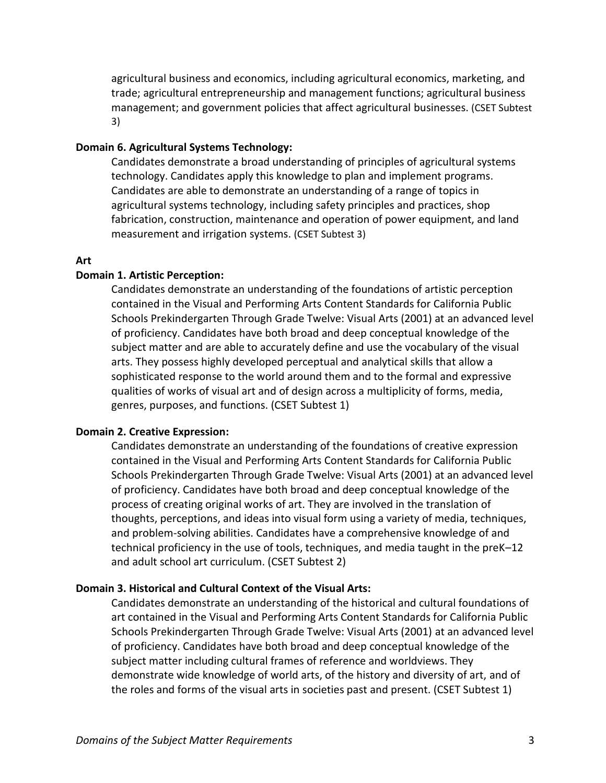agricultural business and economics, including agricultural economics, marketing, and trade; agricultural entrepreneurship and management functions; agricultural business management; and government policies that affect agricultural businesses. (CSET Subtest 3)

## **Domain 6. Agricultural Systems Technology:**

Candidates demonstrate a broad understanding of principles of agricultural systems technology. Candidates apply this knowledge to plan and implement programs. Candidates are able to demonstrate an understanding of a range of topics in agricultural systems technology, including safety principles and practices, shop fabrication, construction, maintenance and operation of power equipment, and land measurement and irrigation systems. (CSET Subtest 3)

## <span id="page-3-0"></span>**Art**

## **Domain 1. Artistic Perception:**

Candidates demonstrate an understanding of the foundations of artistic perception contained in the Visual and Performing Arts Content Standards for California Public Schools Prekindergarten Through Grade Twelve: Visual Arts (2001) at an advanced level of proficiency. Candidates have both broad and deep conceptual knowledge of the subject matter and are able to accurately define and use the vocabulary of the visual arts. They possess highly developed perceptual and analytical skills that allow a sophisticated response to the world around them and to the formal and expressive qualities of works of visual art and of design across a multiplicity of forms, media, genres, purposes, and functions. (CSET Subtest 1)

## **Domain 2. Creative Expression:**

Candidates demonstrate an understanding of the foundations of creative expression contained in the Visual and Performing Arts Content Standards for California Public Schools Prekindergarten Through Grade Twelve: Visual Arts (2001) at an advanced level of proficiency. Candidates have both broad and deep conceptual knowledge of the process of creating original works of art. They are involved in the translation of thoughts, perceptions, and ideas into visual form using a variety of media, techniques, and problem-solving abilities. Candidates have a comprehensive knowledge of and technical proficiency in the use of tools, techniques, and media taught in the preK–12 and adult school art curriculum. (CSET Subtest 2)

## **Domain 3. Historical and Cultural Context of the Visual Arts:**

Candidates demonstrate an understanding of the historical and cultural foundations of art contained in the Visual and Performing Arts Content Standards for California Public Schools Prekindergarten Through Grade Twelve: Visual Arts (2001) at an advanced level of proficiency. Candidates have both broad and deep conceptual knowledge of the subject matter including cultural frames of reference and worldviews. They demonstrate wide knowledge of world arts, of the history and diversity of art, and of the roles and forms of the visual arts in societies past and present. (CSET Subtest 1)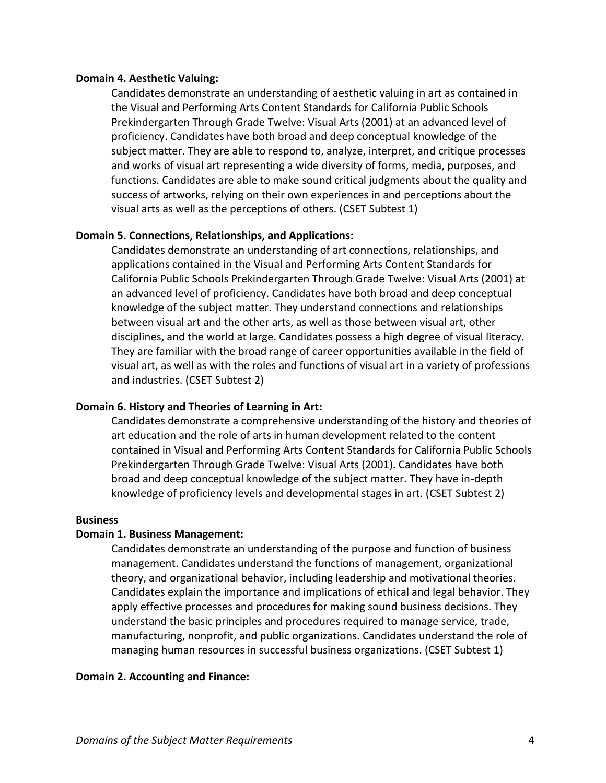#### **Domain 4. Aesthetic Valuing:**

Candidates demonstrate an understanding of aesthetic valuing in art as contained in the Visual and Performing Arts Content Standards for California Public Schools Prekindergarten Through Grade Twelve: Visual Arts (2001) at an advanced level of proficiency. Candidates have both broad and deep conceptual knowledge of the subject matter. They are able to respond to, analyze, interpret, and critique processes and works of visual art representing a wide diversity of forms, media, purposes, and functions. Candidates are able to make sound critical judgments about the quality and success of artworks, relying on their own experiences in and perceptions about the visual arts as well as the perceptions of others. (CSET Subtest 1)

## **Domain 5. Connections, Relationships, and Applications:**

Candidates demonstrate an understanding of art connections, relationships, and applications contained in the Visual and Performing Arts Content Standards for California Public Schools Prekindergarten Through Grade Twelve: Visual Arts (2001) at an advanced level of proficiency. Candidates have both broad and deep conceptual knowledge of the subject matter. They understand connections and relationships between visual art and the other arts, as well as those between visual art, other disciplines, and the world at large. Candidates possess a high degree of visual literacy. They are familiar with the broad range of career opportunities available in the field of visual art, as well as with the roles and functions of visual art in a variety of professions and industries. (CSET Subtest 2)

#### **Domain 6. History and Theories of Learning in Art:**

Candidates demonstrate a comprehensive understanding of the history and theories of art education and the role of arts in human development related to the content contained in Visual and Performing Arts Content Standards for California Public Schools Prekindergarten Through Grade Twelve: Visual Arts (2001). Candidates have both broad and deep conceptual knowledge of the subject matter. They have in-depth knowledge of proficiency levels and developmental stages in art. (CSET Subtest 2)

#### <span id="page-4-0"></span>**Business**

#### **Domain 1. Business Management:**

Candidates demonstrate an understanding of the purpose and function of business management. Candidates understand the functions of management, organizational theory, and organizational behavior, including leadership and motivational theories. Candidates explain the importance and implications of ethical and legal behavior. They apply effective processes and procedures for making sound business decisions. They understand the basic principles and procedures required to manage service, trade, manufacturing, nonprofit, and public organizations. Candidates understand the role of managing human resources in successful business organizations. (CSET Subtest 1)

#### **Domain 2. Accounting and Finance:**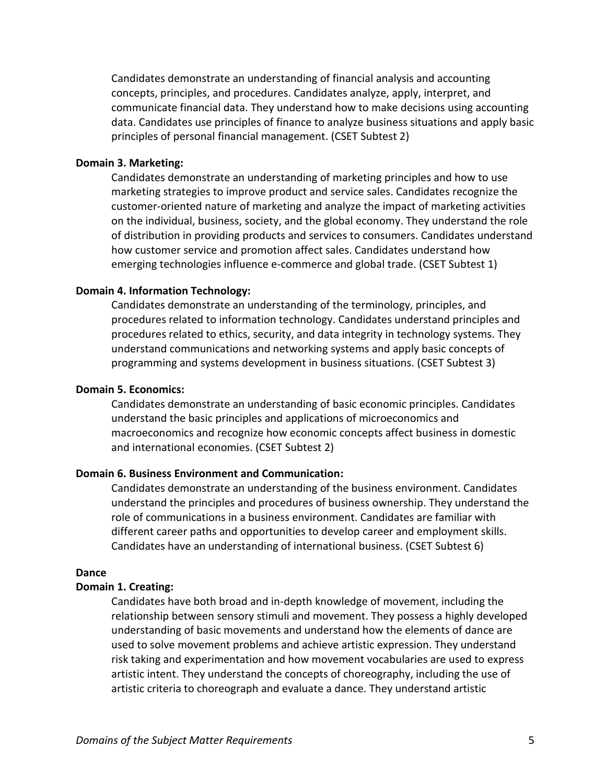Candidates demonstrate an understanding of financial analysis and accounting concepts, principles, and procedures. Candidates analyze, apply, interpret, and communicate financial data. They understand how to make decisions using accounting data. Candidates use principles of finance to analyze business situations and apply basic principles of personal financial management. (CSET Subtest 2)

## **Domain 3. Marketing:**

Candidates demonstrate an understanding of marketing principles and how to use marketing strategies to improve product and service sales. Candidates recognize the customer-oriented nature of marketing and analyze the impact of marketing activities on the individual, business, society, and the global economy. They understand the role of distribution in providing products and services to consumers. Candidates understand how customer service and promotion affect sales. Candidates understand how emerging technologies influence e-commerce and global trade. (CSET Subtest 1)

#### **Domain 4. Information Technology:**

Candidates demonstrate an understanding of the terminology, principles, and procedures related to information technology. Candidates understand principles and procedures related to ethics, security, and data integrity in technology systems. They understand communications and networking systems and apply basic concepts of programming and systems development in business situations. (CSET Subtest 3)

#### **Domain 5. Economics:**

Candidates demonstrate an understanding of basic economic principles. Candidates understand the basic principles and applications of microeconomics and macroeconomics and recognize how economic concepts affect business in domestic and international economies. (CSET Subtest 2)

#### **Domain 6. Business Environment and Communication:**

Candidates demonstrate an understanding of the business environment. Candidates understand the principles and procedures of business ownership. They understand the role of communications in a business environment. Candidates are familiar with different career paths and opportunities to develop career and employment skills. Candidates have an understanding of international business. (CSET Subtest 6)

#### <span id="page-5-0"></span>**Dance**

## **Domain 1. Creating:**

Candidates have both broad and in-depth knowledge of movement, including the relationship between sensory stimuli and movement. They possess a highly developed understanding of basic movements and understand how the elements of dance are used to solve movement problems and achieve artistic expression. They understand risk taking and experimentation and how movement vocabularies are used to express artistic intent. They understand the concepts of choreography, including the use of artistic criteria to choreograph and evaluate a dance. They understand artistic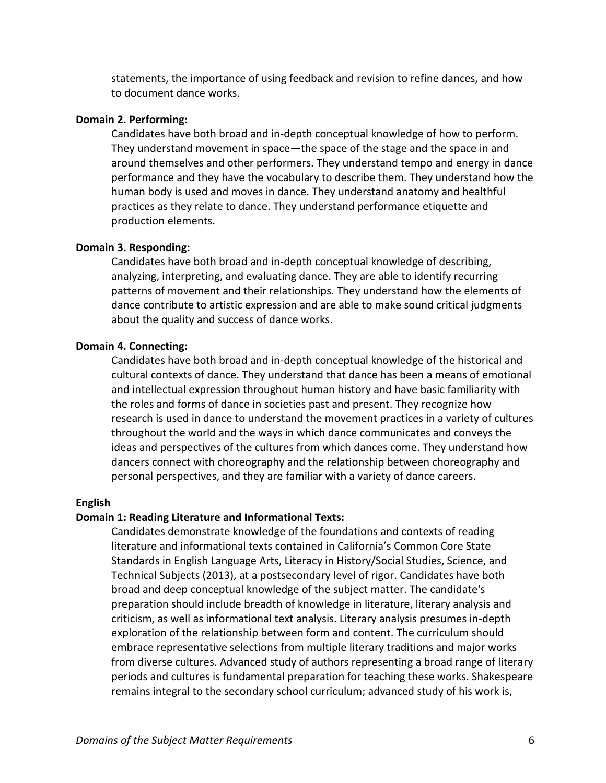statements, the importance of using feedback and revision to refine dances, and how to document dance works.

#### **Domain 2. Performing:**

Candidates have both broad and in-depth conceptual knowledge of how to perform. They understand movement in space—the space of the stage and the space in and around themselves and other performers. They understand tempo and energy in dance performance and they have the vocabulary to describe them. They understand how the human body is used and moves in dance. They understand anatomy and healthful practices as they relate to dance. They understand performance etiquette and production elements.

#### **Domain 3. Responding:**

Candidates have both broad and in-depth conceptual knowledge of describing, analyzing, interpreting, and evaluating dance. They are able to identify recurring patterns of movement and their relationships. They understand how the elements of dance contribute to artistic expression and are able to make sound critical judgments about the quality and success of dance works.

#### **Domain 4. Connecting:**

Candidates have both broad and in-depth conceptual knowledge of the historical and cultural contexts of dance. They understand that dance has been a means of emotional and intellectual expression throughout human history and have basic familiarity with the roles and forms of dance in societies past and present. They recognize how research is used in dance to understand the movement practices in a variety of cultures throughout the world and the ways in which dance communicates and conveys the ideas and perspectives of the cultures from which dances come. They understand how dancers connect with choreography and the relationship between choreography and personal perspectives, and they are familiar with a variety of dance careers.

#### <span id="page-6-0"></span>**English**

#### **Domain 1: Reading Literature and Informational Texts:**

Candidates demonstrate knowledge of the foundations and contexts of reading literature and informational texts contained in California's Common Core State Standards in English Language Arts, Literacy in History/Social Studies, Science, and Technical Subjects (2013), at a postsecondary level of rigor. Candidates have both broad and deep conceptual knowledge of the subject matter. The candidate's preparation should include breadth of knowledge in literature, literary analysis and criticism, as well as informational text analysis. Literary analysis presumes in-depth exploration of the relationship between form and content. The curriculum should embrace representative selections from multiple literary traditions and major works from diverse cultures. Advanced study of authors representing a broad range of literary periods and cultures is fundamental preparation for teaching these works. Shakespeare remains integral to the secondary school curriculum; advanced study of his work is,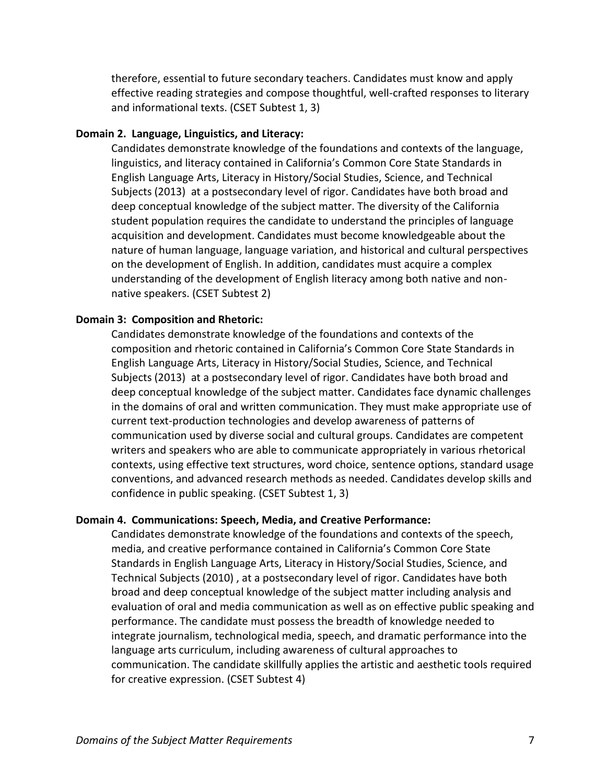therefore, essential to future secondary teachers. Candidates must know and apply effective reading strategies and compose thoughtful, well-crafted responses to literary and informational texts. (CSET Subtest 1, 3)

#### **Domain 2. Language, Linguistics, and Literacy:**

Candidates demonstrate knowledge of the foundations and contexts of the language, linguistics, and literacy contained in California's Common Core State Standards in English Language Arts, Literacy in History/Social Studies, Science, and Technical Subjects (2013) at a postsecondary level of rigor. Candidates have both broad and deep conceptual knowledge of the subject matter. The diversity of the California student population requires the candidate to understand the principles of language acquisition and development. Candidates must become knowledgeable about the nature of human language, language variation, and historical and cultural perspectives on the development of English. In addition, candidates must acquire a complex understanding of the development of English literacy among both native and nonnative speakers. (CSET Subtest 2)

## **Domain 3: Composition and Rhetoric:**

Candidates demonstrate knowledge of the foundations and contexts of the composition and rhetoric contained in California's Common Core State Standards in English Language Arts, Literacy in History/Social Studies, Science, and Technical Subjects (2013) at a postsecondary level of rigor. Candidates have both broad and deep conceptual knowledge of the subject matter. Candidates face dynamic challenges in the domains of oral and written communication. They must make appropriate use of current text-production technologies and develop awareness of patterns of communication used by diverse social and cultural groups. Candidates are competent writers and speakers who are able to communicate appropriately in various rhetorical contexts, using effective text structures, word choice, sentence options, standard usage conventions, and advanced research methods as needed. Candidates develop skills and confidence in public speaking. (CSET Subtest 1, 3)

## **Domain 4. Communications: Speech, Media, and Creative Performance:**

Candidates demonstrate knowledge of the foundations and contexts of the speech, media, and creative performance contained in California's Common Core State Standards in English Language Arts, Literacy in History/Social Studies, Science, and Technical Subjects (2010) , at a postsecondary level of rigor. Candidates have both broad and deep conceptual knowledge of the subject matter including analysis and evaluation of oral and media communication as well as on effective public speaking and performance. The candidate must possess the breadth of knowledge needed to integrate journalism, technological media, speech, and dramatic performance into the language arts curriculum, including awareness of cultural approaches to communication. The candidate skillfully applies the artistic and aesthetic tools required for creative expression. (CSET Subtest 4)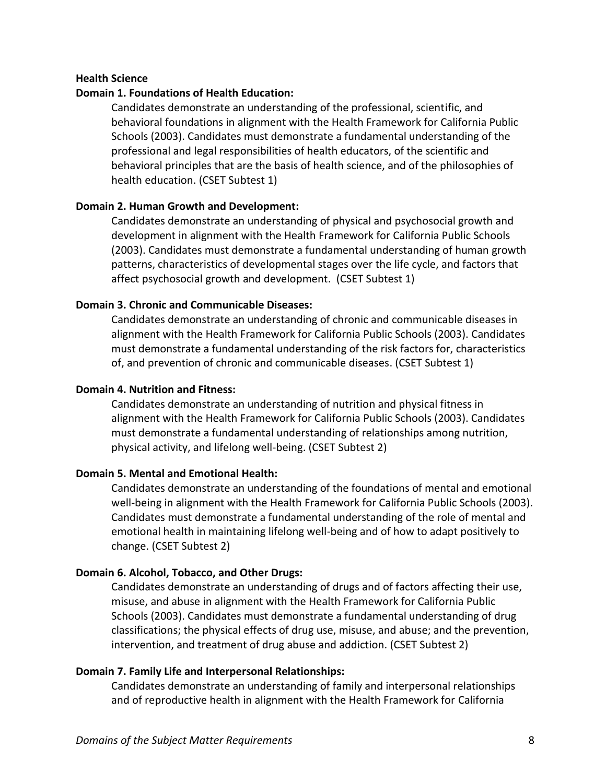## <span id="page-8-0"></span>**Health Science**

## **Domain 1. Foundations of Health Education:**

Candidates demonstrate an understanding of the professional, scientific, and behavioral foundations in alignment with the Health Framework for California Public Schools (2003). Candidates must demonstrate a fundamental understanding of the professional and legal responsibilities of health educators, of the scientific and behavioral principles that are the basis of health science, and of the philosophies of health education. (CSET Subtest 1)

## **Domain 2. Human Growth and Development:**

Candidates demonstrate an understanding of physical and psychosocial growth and development in alignment with the Health Framework for California Public Schools (2003). Candidates must demonstrate a fundamental understanding of human growth patterns, characteristics of developmental stages over the life cycle, and factors that affect psychosocial growth and development. (CSET Subtest 1)

#### **Domain 3. Chronic and Communicable Diseases:**

Candidates demonstrate an understanding of chronic and communicable diseases in alignment with the Health Framework for California Public Schools (2003). Candidates must demonstrate a fundamental understanding of the risk factors for, characteristics of, and prevention of chronic and communicable diseases. (CSET Subtest 1)

#### **Domain 4. Nutrition and Fitness:**

Candidates demonstrate an understanding of nutrition and physical fitness in alignment with the Health Framework for California Public Schools (2003). Candidates must demonstrate a fundamental understanding of relationships among nutrition, physical activity, and lifelong well-being. (CSET Subtest 2)

## **Domain 5. Mental and Emotional Health:**

Candidates demonstrate an understanding of the foundations of mental and emotional well-being in alignment with the Health Framework for California Public Schools (2003). Candidates must demonstrate a fundamental understanding of the role of mental and emotional health in maintaining lifelong well-being and of how to adapt positively to change. (CSET Subtest 2)

## **Domain 6. Alcohol, Tobacco, and Other Drugs:**

Candidates demonstrate an understanding of drugs and of factors affecting their use, misuse, and abuse in alignment with the Health Framework for California Public Schools (2003). Candidates must demonstrate a fundamental understanding of drug classifications; the physical effects of drug use, misuse, and abuse; and the prevention, intervention, and treatment of drug abuse and addiction. (CSET Subtest 2)

#### **Domain 7. Family Life and Interpersonal Relationships:**

Candidates demonstrate an understanding of family and interpersonal relationships and of reproductive health in alignment with the Health Framework for California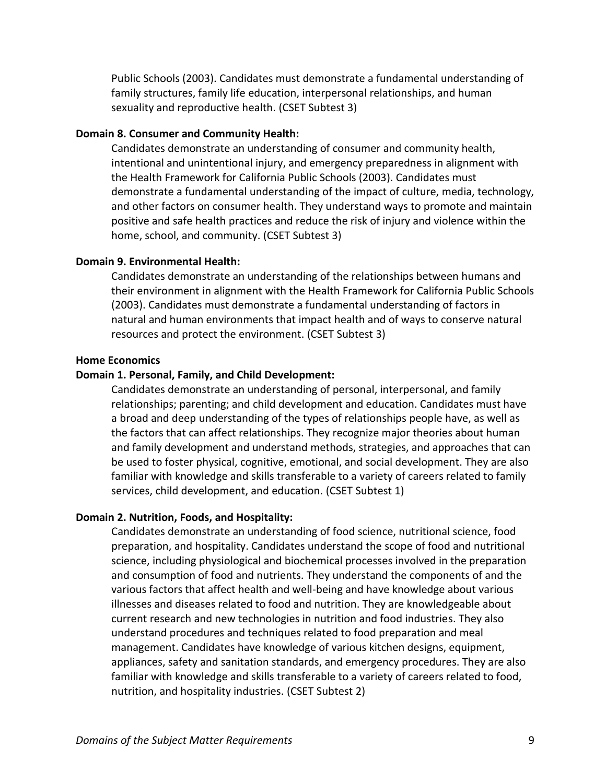Public Schools (2003). Candidates must demonstrate a fundamental understanding of family structures, family life education, interpersonal relationships, and human sexuality and reproductive health. (CSET Subtest 3)

#### **Domain 8. Consumer and Community Health:**

Candidates demonstrate an understanding of consumer and community health, intentional and unintentional injury, and emergency preparedness in alignment with the Health Framework for California Public Schools (2003). Candidates must demonstrate a fundamental understanding of the impact of culture, media, technology, and other factors on consumer health. They understand ways to promote and maintain positive and safe health practices and reduce the risk of injury and violence within the home, school, and community. (CSET Subtest 3)

## **Domain 9. Environmental Health:**

Candidates demonstrate an understanding of the relationships between humans and their environment in alignment with the Health Framework for California Public Schools (2003). Candidates must demonstrate a fundamental understanding of factors in natural and human environments that impact health and of ways to conserve natural resources and protect the environment. (CSET Subtest 3)

#### <span id="page-9-0"></span>**Home Economics**

## **Domain 1. Personal, Family, and Child Development:**

Candidates demonstrate an understanding of personal, interpersonal, and family relationships; parenting; and child development and education. Candidates must have a broad and deep understanding of the types of relationships people have, as well as the factors that can affect relationships. They recognize major theories about human and family development and understand methods, strategies, and approaches that can be used to foster physical, cognitive, emotional, and social development. They are also familiar with knowledge and skills transferable to a variety of careers related to family services, child development, and education. (CSET Subtest 1)

## **Domain 2. Nutrition, Foods, and Hospitality:**

Candidates demonstrate an understanding of food science, nutritional science, food preparation, and hospitality. Candidates understand the scope of food and nutritional science, including physiological and biochemical processes involved in the preparation and consumption of food and nutrients. They understand the components of and the various factors that affect health and well-being and have knowledge about various illnesses and diseases related to food and nutrition. They are knowledgeable about current research and new technologies in nutrition and food industries. They also understand procedures and techniques related to food preparation and meal management. Candidates have knowledge of various kitchen designs, equipment, appliances, safety and sanitation standards, and emergency procedures. They are also familiar with knowledge and skills transferable to a variety of careers related to food, nutrition, and hospitality industries. (CSET Subtest 2)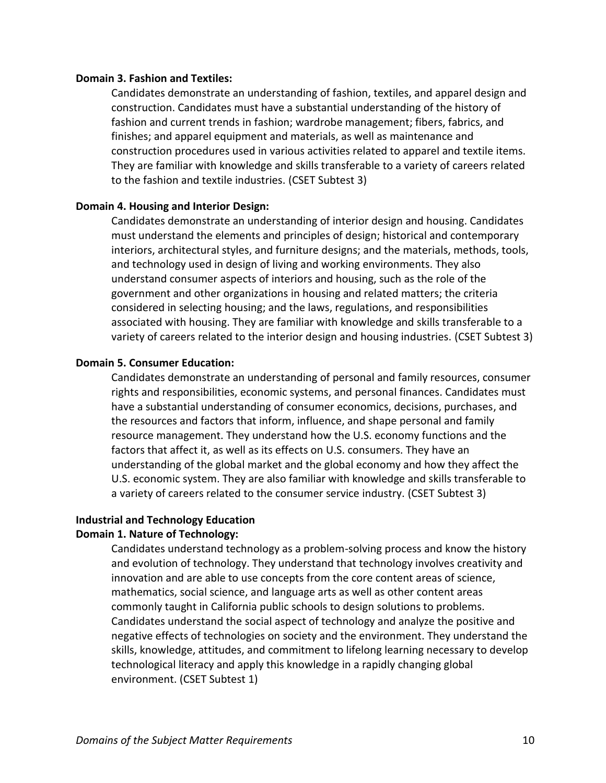#### **Domain 3. Fashion and Textiles:**

Candidates demonstrate an understanding of fashion, textiles, and apparel design and construction. Candidates must have a substantial understanding of the history of fashion and current trends in fashion; wardrobe management; fibers, fabrics, and finishes; and apparel equipment and materials, as well as maintenance and construction procedures used in various activities related to apparel and textile items. They are familiar with knowledge and skills transferable to a variety of careers related to the fashion and textile industries. (CSET Subtest 3)

## **Domain 4. Housing and Interior Design:**

Candidates demonstrate an understanding of interior design and housing. Candidates must understand the elements and principles of design; historical and contemporary interiors, architectural styles, and furniture designs; and the materials, methods, tools, and technology used in design of living and working environments. They also understand consumer aspects of interiors and housing, such as the role of the government and other organizations in housing and related matters; the criteria considered in selecting housing; and the laws, regulations, and responsibilities associated with housing. They are familiar with knowledge and skills transferable to a variety of careers related to the interior design and housing industries. (CSET Subtest 3)

#### **Domain 5. Consumer Education:**

Candidates demonstrate an understanding of personal and family resources, consumer rights and responsibilities, economic systems, and personal finances. Candidates must have a substantial understanding of consumer economics, decisions, purchases, and the resources and factors that inform, influence, and shape personal and family resource management. They understand how the U.S. economy functions and the factors that affect it, as well as its effects on U.S. consumers. They have an understanding of the global market and the global economy and how they affect the U.S. economic system. They are also familiar with knowledge and skills transferable to a variety of careers related to the consumer service industry. (CSET Subtest 3)

#### <span id="page-10-0"></span>**Industrial and Technology Education**

## **Domain 1. Nature of Technology:**

Candidates understand technology as a problem-solving process and know the history and evolution of technology. They understand that technology involves creativity and innovation and are able to use concepts from the core content areas of science, mathematics, social science, and language arts as well as other content areas commonly taught in California public schools to design solutions to problems. Candidates understand the social aspect of technology and analyze the positive and negative effects of technologies on society and the environment. They understand the skills, knowledge, attitudes, and commitment to lifelong learning necessary to develop technological literacy and apply this knowledge in a rapidly changing global environment. (CSET Subtest 1)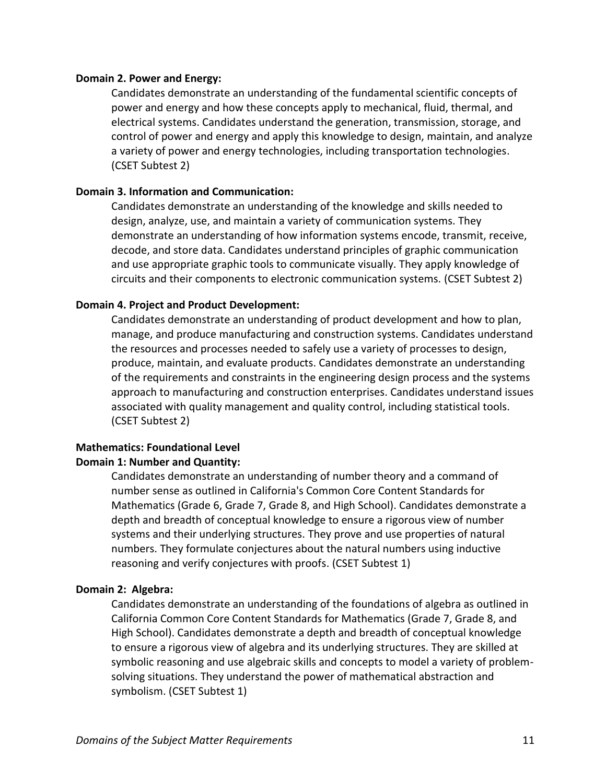#### **Domain 2. Power and Energy:**

Candidates demonstrate an understanding of the fundamental scientific concepts of power and energy and how these concepts apply to mechanical, fluid, thermal, and electrical systems. Candidates understand the generation, transmission, storage, and control of power and energy and apply this knowledge to design, maintain, and analyze a variety of power and energy technologies, including transportation technologies. (CSET Subtest 2)

## **Domain 3. Information and Communication:**

Candidates demonstrate an understanding of the knowledge and skills needed to design, analyze, use, and maintain a variety of communication systems. They demonstrate an understanding of how information systems encode, transmit, receive, decode, and store data. Candidates understand principles of graphic communication and use appropriate graphic tools to communicate visually. They apply knowledge of circuits and their components to electronic communication systems. (CSET Subtest 2)

## **Domain 4. Project and Product Development:**

Candidates demonstrate an understanding of product development and how to plan, manage, and produce manufacturing and construction systems. Candidates understand the resources and processes needed to safely use a variety of processes to design, produce, maintain, and evaluate products. Candidates demonstrate an understanding of the requirements and constraints in the engineering design process and the systems approach to manufacturing and construction enterprises. Candidates understand issues associated with quality management and quality control, including statistical tools. (CSET Subtest 2)

## <span id="page-11-0"></span>**Mathematics: Foundational Level Domain 1: Number and Quantity:**

Candidates demonstrate an understanding of number theory and a command of number sense as outlined in California's Common Core Content Standards for Mathematics (Grade 6, Grade 7, Grade 8, and High School). Candidates demonstrate a depth and breadth of conceptual knowledge to ensure a rigorous view of number systems and their underlying structures. They prove and use properties of natural numbers. They formulate conjectures about the natural numbers using inductive reasoning and verify conjectures with proofs. (CSET Subtest 1)

#### **Domain 2: Algebra:**

Candidates demonstrate an understanding of the foundations of algebra as outlined in California Common Core Content Standards for Mathematics (Grade 7, Grade 8, and High School). Candidates demonstrate a depth and breadth of conceptual knowledge to ensure a rigorous view of algebra and its underlying structures. They are skilled at symbolic reasoning and use algebraic skills and concepts to model a variety of problemsolving situations. They understand the power of mathematical abstraction and symbolism. (CSET Subtest 1)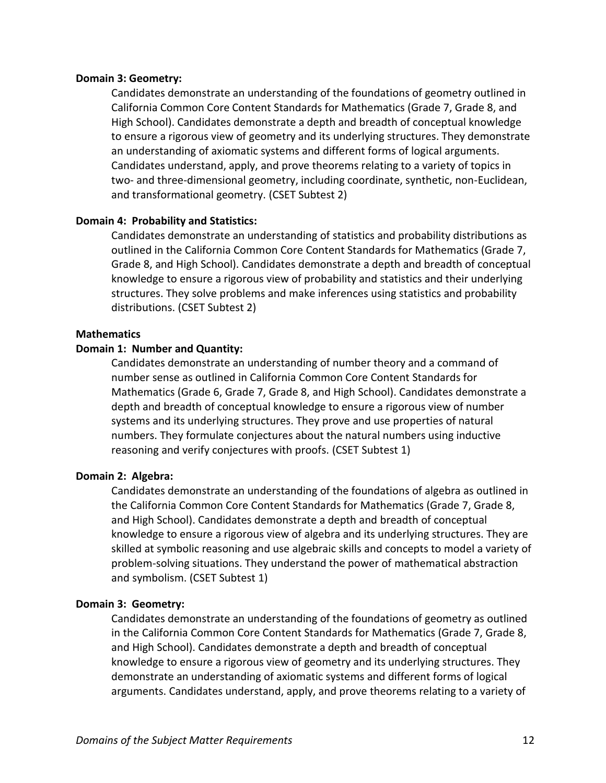#### **Domain 3: Geometry:**

Candidates demonstrate an understanding of the foundations of geometry outlined in California Common Core Content Standards for Mathematics (Grade 7, Grade 8, and High School). Candidates demonstrate a depth and breadth of conceptual knowledge to ensure a rigorous view of geometry and its underlying structures. They demonstrate an understanding of axiomatic systems and different forms of logical arguments. Candidates understand, apply, and prove theorems relating to a variety of topics in two- and three-dimensional geometry, including coordinate, synthetic, non-Euclidean, and transformational geometry. (CSET Subtest 2)

#### **Domain 4: Probability and Statistics:**

Candidates demonstrate an understanding of statistics and probability distributions as outlined in the California Common Core Content Standards for Mathematics (Grade 7, Grade 8, and High School). Candidates demonstrate a depth and breadth of conceptual knowledge to ensure a rigorous view of probability and statistics and their underlying structures. They solve problems and make inferences using statistics and probability distributions. (CSET Subtest 2)

#### <span id="page-12-0"></span>**Mathematics**

## **Domain 1: Number and Quantity:**

Candidates demonstrate an understanding of number theory and a command of number sense as outlined in California Common Core Content Standards for Mathematics (Grade 6, Grade 7, Grade 8, and High School). Candidates demonstrate a depth and breadth of conceptual knowledge to ensure a rigorous view of number systems and its underlying structures. They prove and use properties of natural numbers. They formulate conjectures about the natural numbers using inductive reasoning and verify conjectures with proofs. (CSET Subtest 1)

#### **Domain 2: Algebra:**

Candidates demonstrate an understanding of the foundations of algebra as outlined in the California Common Core Content Standards for Mathematics (Grade 7, Grade 8, and High School). Candidates demonstrate a depth and breadth of conceptual knowledge to ensure a rigorous view of algebra and its underlying structures. They are skilled at symbolic reasoning and use algebraic skills and concepts to model a variety of problem-solving situations. They understand the power of mathematical abstraction and symbolism. (CSET Subtest 1)

#### **Domain 3: Geometry:**

Candidates demonstrate an understanding of the foundations of geometry as outlined in the California Common Core Content Standards for Mathematics (Grade 7, Grade 8, and High School). Candidates demonstrate a depth and breadth of conceptual knowledge to ensure a rigorous view of geometry and its underlying structures. They demonstrate an understanding of axiomatic systems and different forms of logical arguments. Candidates understand, apply, and prove theorems relating to a variety of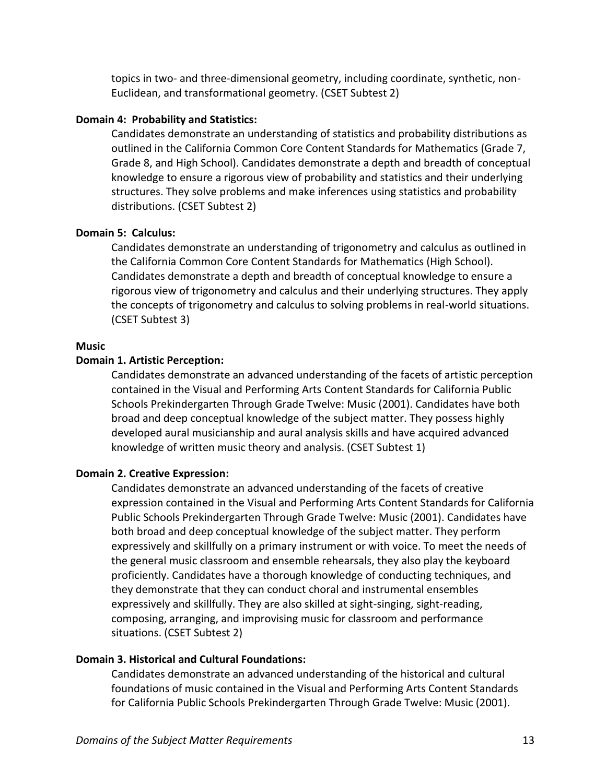topics in two- and three-dimensional geometry, including coordinate, synthetic, non-Euclidean, and transformational geometry. (CSET Subtest 2)

#### **Domain 4: Probability and Statistics:**

Candidates demonstrate an understanding of statistics and probability distributions as outlined in the California Common Core Content Standards for Mathematics (Grade 7, Grade 8, and High School). Candidates demonstrate a depth and breadth of conceptual knowledge to ensure a rigorous view of probability and statistics and their underlying structures. They solve problems and make inferences using statistics and probability distributions. (CSET Subtest 2)

## **Domain 5: Calculus:**

Candidates demonstrate an understanding of trigonometry and calculus as outlined in the California Common Core Content Standards for Mathematics (High School). Candidates demonstrate a depth and breadth of conceptual knowledge to ensure a rigorous view of trigonometry and calculus and their underlying structures. They apply the concepts of trigonometry and calculus to solving problems in real-world situations. (CSET Subtest 3)

#### <span id="page-13-0"></span>**Music**

## **Domain 1. Artistic Perception:**

Candidates demonstrate an advanced understanding of the facets of artistic perception contained in the Visual and Performing Arts Content Standards for California Public Schools Prekindergarten Through Grade Twelve: Music (2001). Candidates have both broad and deep conceptual knowledge of the subject matter. They possess highly developed aural musicianship and aural analysis skills and have acquired advanced knowledge of written music theory and analysis. (CSET Subtest 1)

## **Domain 2. Creative Expression:**

Candidates demonstrate an advanced understanding of the facets of creative expression contained in the Visual and Performing Arts Content Standards for California Public Schools Prekindergarten Through Grade Twelve: Music (2001). Candidates have both broad and deep conceptual knowledge of the subject matter. They perform expressively and skillfully on a primary instrument or with voice. To meet the needs of the general music classroom and ensemble rehearsals, they also play the keyboard proficiently. Candidates have a thorough knowledge of conducting techniques, and they demonstrate that they can conduct choral and instrumental ensembles expressively and skillfully. They are also skilled at sight-singing, sight-reading, composing, arranging, and improvising music for classroom and performance situations. (CSET Subtest 2)

## **Domain 3. Historical and Cultural Foundations:**

Candidates demonstrate an advanced understanding of the historical and cultural foundations of music contained in the Visual and Performing Arts Content Standards for California Public Schools Prekindergarten Through Grade Twelve: Music (2001).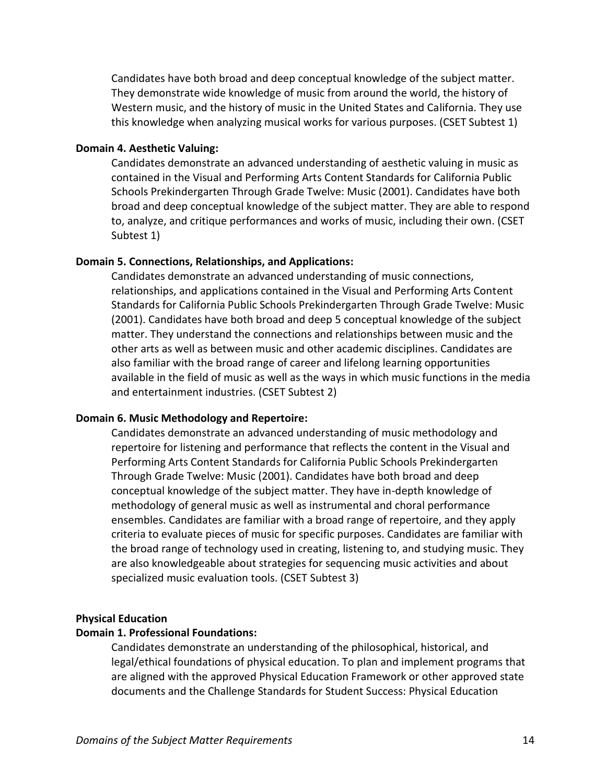Candidates have both broad and deep conceptual knowledge of the subject matter. They demonstrate wide knowledge of music from around the world, the history of Western music, and the history of music in the United States and California. They use this knowledge when analyzing musical works for various purposes. (CSET Subtest 1)

#### **Domain 4. Aesthetic Valuing:**

Candidates demonstrate an advanced understanding of aesthetic valuing in music as contained in the Visual and Performing Arts Content Standards for California Public Schools Prekindergarten Through Grade Twelve: Music (2001). Candidates have both broad and deep conceptual knowledge of the subject matter. They are able to respond to, analyze, and critique performances and works of music, including their own. (CSET Subtest 1)

#### **Domain 5. Connections, Relationships, and Applications:**

Candidates demonstrate an advanced understanding of music connections, relationships, and applications contained in the Visual and Performing Arts Content Standards for California Public Schools Prekindergarten Through Grade Twelve: Music (2001). Candidates have both broad and deep 5 conceptual knowledge of the subject matter. They understand the connections and relationships between music and the other arts as well as between music and other academic disciplines. Candidates are also familiar with the broad range of career and lifelong learning opportunities available in the field of music as well as the ways in which music functions in the media and entertainment industries. (CSET Subtest 2)

## **Domain 6. Music Methodology and Repertoire:**

Candidates demonstrate an advanced understanding of music methodology and repertoire for listening and performance that reflects the content in the Visual and Performing Arts Content Standards for California Public Schools Prekindergarten Through Grade Twelve: Music (2001). Candidates have both broad and deep conceptual knowledge of the subject matter. They have in-depth knowledge of methodology of general music as well as instrumental and choral performance ensembles. Candidates are familiar with a broad range of repertoire, and they apply criteria to evaluate pieces of music for specific purposes. Candidates are familiar with the broad range of technology used in creating, listening to, and studying music. They are also knowledgeable about strategies for sequencing music activities and about specialized music evaluation tools. (CSET Subtest 3)

#### <span id="page-14-0"></span>**Physical Education**

#### **Domain 1. Professional Foundations:**

Candidates demonstrate an understanding of the philosophical, historical, and legal/ethical foundations of physical education. To plan and implement programs that are aligned with the approved Physical Education Framework or other approved state documents and the Challenge Standards for Student Success: Physical Education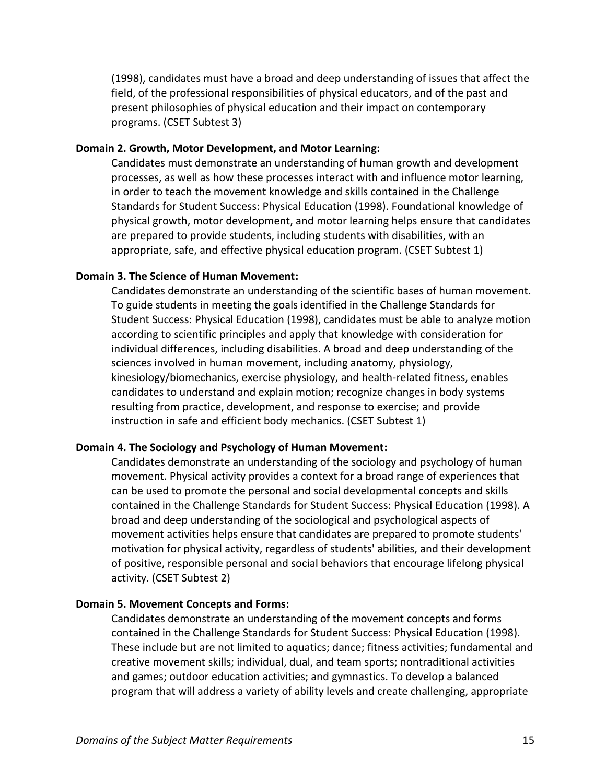(1998), candidates must have a broad and deep understanding of issues that affect the field, of the professional responsibilities of physical educators, and of the past and present philosophies of physical education and their impact on contemporary programs. (CSET Subtest 3)

## **Domain 2. Growth, Motor Development, and Motor Learning:**

Candidates must demonstrate an understanding of human growth and development processes, as well as how these processes interact with and influence motor learning, in order to teach the movement knowledge and skills contained in the Challenge Standards for Student Success: Physical Education (1998). Foundational knowledge of physical growth, motor development, and motor learning helps ensure that candidates are prepared to provide students, including students with disabilities, with an appropriate, safe, and effective physical education program. (CSET Subtest 1)

#### **Domain 3. The Science of Human Movement:**

Candidates demonstrate an understanding of the scientific bases of human movement. To guide students in meeting the goals identified in the Challenge Standards for Student Success: Physical Education (1998), candidates must be able to analyze motion according to scientific principles and apply that knowledge with consideration for individual differences, including disabilities. A broad and deep understanding of the sciences involved in human movement, including anatomy, physiology, kinesiology/biomechanics, exercise physiology, and health-related fitness, enables candidates to understand and explain motion; recognize changes in body systems resulting from practice, development, and response to exercise; and provide instruction in safe and efficient body mechanics. (CSET Subtest 1)

#### **Domain 4. The Sociology and Psychology of Human Movement:**

Candidates demonstrate an understanding of the sociology and psychology of human movement. Physical activity provides a context for a broad range of experiences that can be used to promote the personal and social developmental concepts and skills contained in the Challenge Standards for Student Success: Physical Education (1998). A broad and deep understanding of the sociological and psychological aspects of movement activities helps ensure that candidates are prepared to promote students' motivation for physical activity, regardless of students' abilities, and their development of positive, responsible personal and social behaviors that encourage lifelong physical activity. (CSET Subtest 2)

## **Domain 5. Movement Concepts and Forms:**

Candidates demonstrate an understanding of the movement concepts and forms contained in the Challenge Standards for Student Success: Physical Education (1998). These include but are not limited to aquatics; dance; fitness activities; fundamental and creative movement skills; individual, dual, and team sports; nontraditional activities and games; outdoor education activities; and gymnastics. To develop a balanced program that will address a variety of ability levels and create challenging, appropriate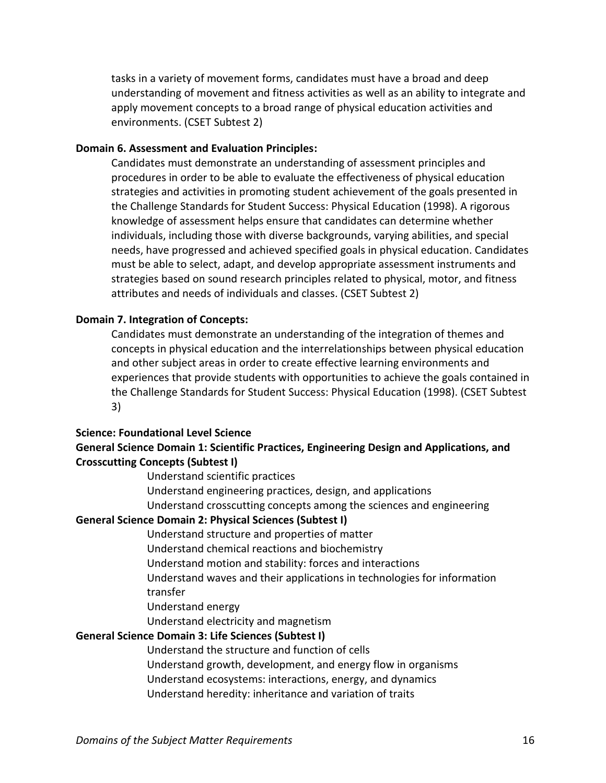tasks in a variety of movement forms, candidates must have a broad and deep understanding of movement and fitness activities as well as an ability to integrate and apply movement concepts to a broad range of physical education activities and environments. (CSET Subtest 2)

## **Domain 6. Assessment and Evaluation Principles:**

Candidates must demonstrate an understanding of assessment principles and procedures in order to be able to evaluate the effectiveness of physical education strategies and activities in promoting student achievement of the goals presented in the Challenge Standards for Student Success: Physical Education (1998). A rigorous knowledge of assessment helps ensure that candidates can determine whether individuals, including those with diverse backgrounds, varying abilities, and special needs, have progressed and achieved specified goals in physical education. Candidates must be able to select, adapt, and develop appropriate assessment instruments and strategies based on sound research principles related to physical, motor, and fitness attributes and needs of individuals and classes. (CSET Subtest 2)

#### **Domain 7. Integration of Concepts:**

Candidates must demonstrate an understanding of the integration of themes and concepts in physical education and the interrelationships between physical education and other subject areas in order to create effective learning environments and experiences that provide students with opportunities to achieve the goals contained in the Challenge Standards for Student Success: Physical Education (1998). (CSET Subtest 3)

#### <span id="page-16-0"></span>**Science: Foundational Level Science**

## **General Science Domain 1: Scientific Practices, Engineering Design and Applications, and Crosscutting Concepts (Subtest I)**

Understand scientific practices

Understand engineering practices, design, and applications

Understand crosscutting concepts among the sciences and engineering

#### **General Science Domain 2: Physical Sciences (Subtest I)**

Understand structure and properties of matter

Understand chemical reactions and biochemistry

Understand motion and stability: forces and interactions

Understand waves and their applications in technologies for information transfer

Understand energy

Understand electricity and magnetism

## **General Science Domain 3: Life Sciences (Subtest I)**

Understand the structure and function of cells

Understand growth, development, and energy flow in organisms

Understand ecosystems: interactions, energy, and dynamics

Understand heredity: inheritance and variation of traits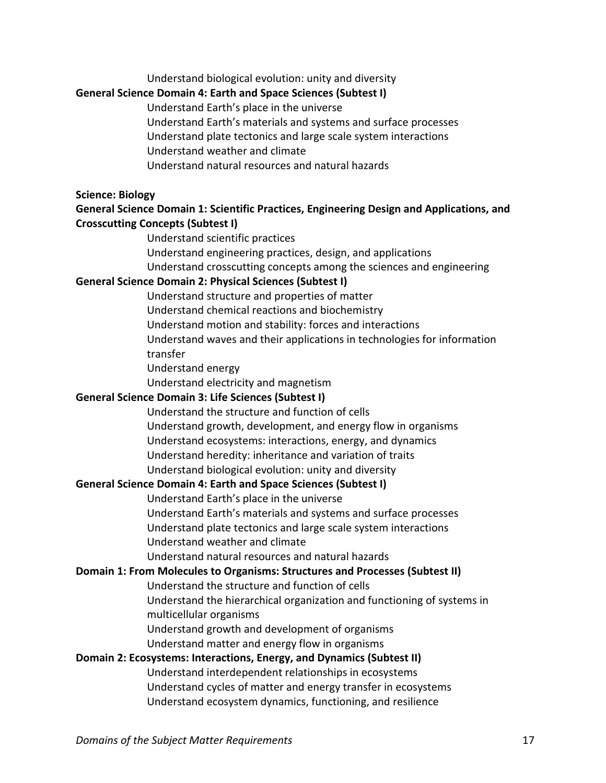Understand biological evolution: unity and diversity

## **General Science Domain 4: Earth and Space Sciences (Subtest I)**

Understand Earth's place in the universe

Understand Earth's materials and systems and surface processes

Understand plate tectonics and large scale system interactions

Understand weather and climate

Understand natural resources and natural hazards

<span id="page-17-0"></span>**Science: Biology**

## **General Science Domain 1: Scientific Practices, Engineering Design and Applications, and Crosscutting Concepts (Subtest I)**

Understand scientific practices

Understand engineering practices, design, and applications

Understand crosscutting concepts among the sciences and engineering

## **General Science Domain 2: Physical Sciences (Subtest I)**

Understand structure and properties of matter

Understand chemical reactions and biochemistry

Understand motion and stability: forces and interactions

Understand waves and their applications in technologies for information transfer

Understand energy

Understand electricity and magnetism

## **General Science Domain 3: Life Sciences (Subtest I)**

Understand the structure and function of cells Understand growth, development, and energy flow in organisms Understand ecosystems: interactions, energy, and dynamics Understand heredity: inheritance and variation of traits Understand biological evolution: unity and diversity

## **General Science Domain 4: Earth and Space Sciences (Subtest I)**

Understand Earth's place in the universe

Understand Earth's materials and systems and surface processes Understand plate tectonics and large scale system interactions Understand weather and climate

Understand natural resources and natural hazards

## **Domain 1: From Molecules to Organisms: Structures and Processes (Subtest II)**

Understand the structure and function of cells

Understand the hierarchical organization and functioning of systems in multicellular organisms

Understand growth and development of organisms

Understand matter and energy flow in organisms

## **Domain 2: Ecosystems: Interactions, Energy, and Dynamics (Subtest II)**

Understand interdependent relationships in ecosystems Understand cycles of matter and energy transfer in ecosystems Understand ecosystem dynamics, functioning, and resilience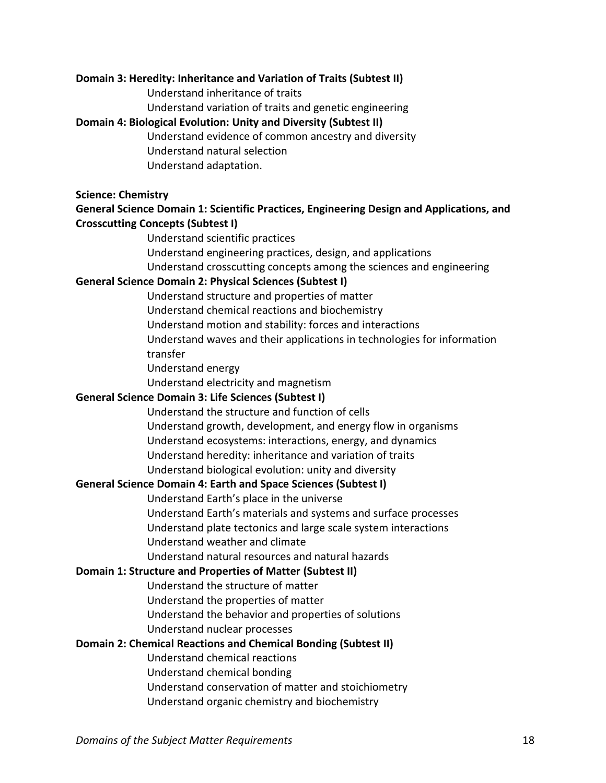## **Domain 3: Heredity: Inheritance and Variation of Traits (Subtest II)**

Understand inheritance of traits

Understand variation of traits and genetic engineering

## **Domain 4: Biological Evolution: Unity and Diversity (Subtest II)**

Understand evidence of common ancestry and diversity Understand natural selection Understand adaptation.

<span id="page-18-0"></span>**Science: Chemistry**

## **General Science Domain 1: Scientific Practices, Engineering Design and Applications, and Crosscutting Concepts (Subtest I)**

Understand scientific practices

Understand engineering practices, design, and applications

Understand crosscutting concepts among the sciences and engineering

## **General Science Domain 2: Physical Sciences (Subtest I)**

Understand structure and properties of matter

Understand chemical reactions and biochemistry

Understand motion and stability: forces and interactions

Understand waves and their applications in technologies for information transfer

Understand energy

Understand electricity and magnetism

## **General Science Domain 3: Life Sciences (Subtest I)**

Understand the structure and function of cells Understand growth, development, and energy flow in organisms Understand ecosystems: interactions, energy, and dynamics Understand heredity: inheritance and variation of traits Understand biological evolution: unity and diversity

## **General Science Domain 4: Earth and Space Sciences (Subtest I)**

Understand Earth's place in the universe

Understand Earth's materials and systems and surface processes Understand plate tectonics and large scale system interactions

Understand weather and climate

Understand natural resources and natural hazards

## **Domain 1: Structure and Properties of Matter (Subtest II)**

Understand the structure of matter

Understand the properties of matter

Understand the behavior and properties of solutions

Understand nuclear processes

## **Domain 2: Chemical Reactions and Chemical Bonding (Subtest II)**

Understand chemical reactions

Understand chemical bonding

Understand conservation of matter and stoichiometry

Understand organic chemistry and biochemistry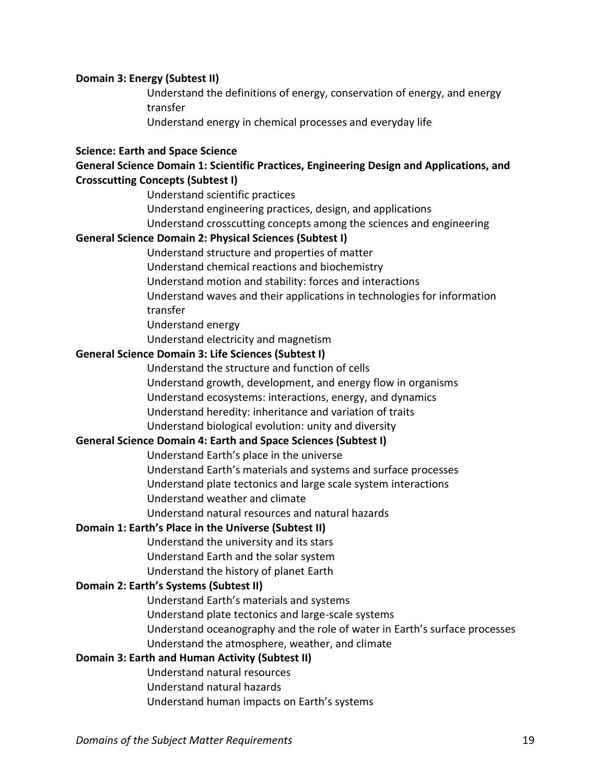## **Domain 3: Energy (Subtest II)**

Understand the definitions of energy, conservation of energy, and energy transfer

Understand energy in chemical processes and everyday life

#### <span id="page-19-0"></span>**Science: Earth and Space Science**

## **General Science Domain 1: Scientific Practices, Engineering Design and Applications, and Crosscutting Concepts (Subtest I)**

Understand scientific practices

Understand engineering practices, design, and applications

Understand crosscutting concepts among the sciences and engineering

#### **General Science Domain 2: Physical Sciences (Subtest I)**

Understand structure and properties of matter

Understand chemical reactions and biochemistry

Understand motion and stability: forces and interactions

Understand waves and their applications in technologies for information transfer

Understand energy

Understand electricity and magnetism

## **General Science Domain 3: Life Sciences (Subtest I)**

Understand the structure and function of cells Understand growth, development, and energy flow in organisms Understand ecosystems: interactions, energy, and dynamics Understand heredity: inheritance and variation of traits Understand biological evolution: unity and diversity

## **General Science Domain 4: Earth and Space Sciences (Subtest I)**

Understand Earth's place in the universe

Understand Earth's materials and systems and surface processes Understand plate tectonics and large scale system interactions Understand weather and climate

Understand natural resources and natural hazards

## **Domain 1: Earth's Place in the Universe (Subtest II)**

Understand the university and its stars Understand Earth and the solar system Understand the history of planet Earth

#### **Domain 2: Earth's Systems (Subtest II)**

Understand Earth's materials and systems Understand plate tectonics and large-scale systems Understand oceanography and the role of water in Earth's surface processes Understand the atmosphere, weather, and climate

#### **Domain 3: Earth and Human Activity (Subtest II)**

Understand natural resources Understand natural hazards Understand human impacts on Earth's systems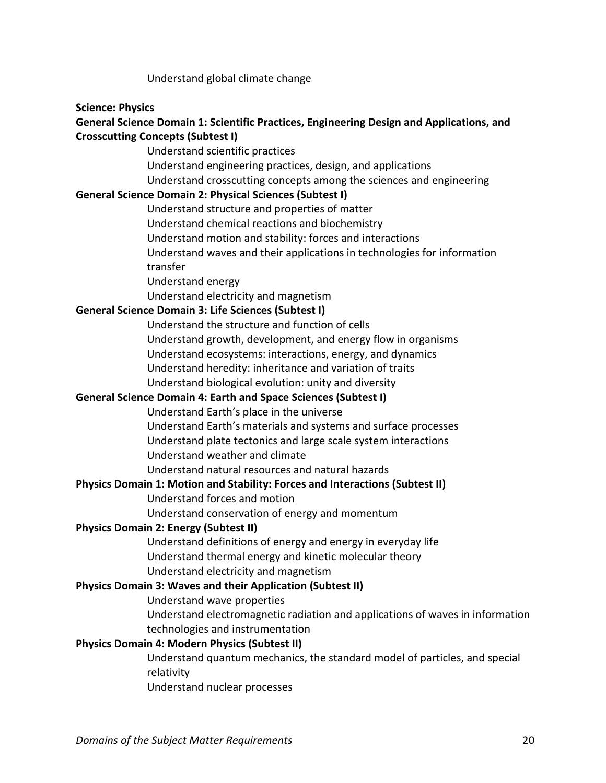## Understand global climate change

#### <span id="page-20-0"></span>**Science: Physics**

## **General Science Domain 1: Scientific Practices, Engineering Design and Applications, and Crosscutting Concepts (Subtest I)**

Understand scientific practices Understand engineering practices, design, and applications Understand crosscutting concepts among the sciences and engineering

## **General Science Domain 2: Physical Sciences (Subtest I)**

Understand structure and properties of matter

Understand chemical reactions and biochemistry

Understand motion and stability: forces and interactions

Understand waves and their applications in technologies for information transfer

Understand energy

Understand electricity and magnetism

## **General Science Domain 3: Life Sciences (Subtest I)**

Understand the structure and function of cells Understand growth, development, and energy flow in organisms Understand ecosystems: interactions, energy, and dynamics Understand heredity: inheritance and variation of traits Understand biological evolution: unity and diversity

## **General Science Domain 4: Earth and Space Sciences (Subtest I)**

Understand Earth's place in the universe

Understand Earth's materials and systems and surface processes Understand plate tectonics and large scale system interactions Understand weather and climate

Understand natural resources and natural hazards

## **Physics Domain 1: Motion and Stability: Forces and Interactions (Subtest II)**

Understand forces and motion

Understand conservation of energy and momentum

#### **Physics Domain 2: Energy (Subtest II)**

Understand definitions of energy and energy in everyday life Understand thermal energy and kinetic molecular theory Understand electricity and magnetism

#### **Physics Domain 3: Waves and their Application (Subtest II)**

Understand wave properties

Understand electromagnetic radiation and applications of waves in information technologies and instrumentation

#### **Physics Domain 4: Modern Physics (Subtest II)**

Understand quantum mechanics, the standard model of particles, and special relativity

Understand nuclear processes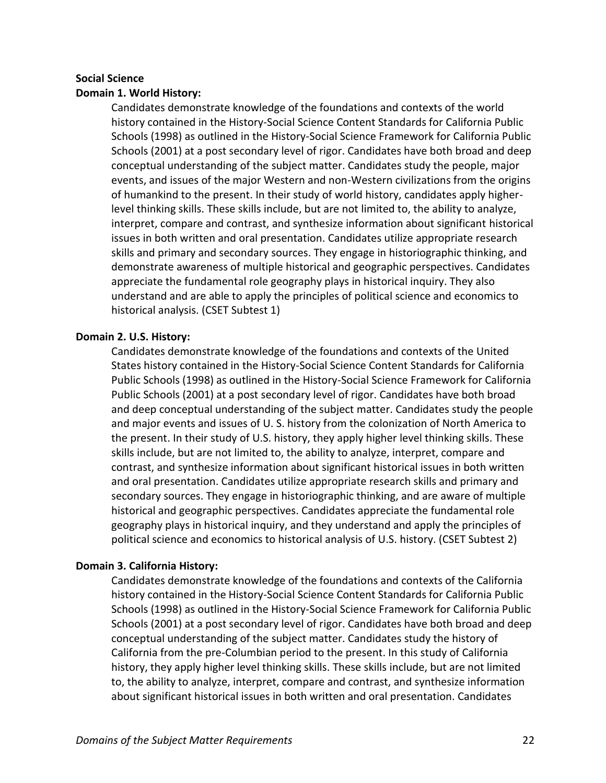## <span id="page-22-0"></span>**Social Science**

## **Domain 1. World History:**

Candidates demonstrate knowledge of the foundations and contexts of the world history contained in the History-Social Science Content Standards for California Public Schools (1998) as outlined in the History-Social Science Framework for California Public Schools (2001) at a post secondary level of rigor. Candidates have both broad and deep conceptual understanding of the subject matter. Candidates study the people, major events, and issues of the major Western and non-Western civilizations from the origins of humankind to the present. In their study of world history, candidates apply higherlevel thinking skills. These skills include, but are not limited to, the ability to analyze, interpret, compare and contrast, and synthesize information about significant historical issues in both written and oral presentation. Candidates utilize appropriate research skills and primary and secondary sources. They engage in historiographic thinking, and demonstrate awareness of multiple historical and geographic perspectives. Candidates appreciate the fundamental role geography plays in historical inquiry. They also understand and are able to apply the principles of political science and economics to historical analysis. (CSET Subtest 1)

## **Domain 2. U.S. History:**

Candidates demonstrate knowledge of the foundations and contexts of the United States history contained in the History-Social Science Content Standards for California Public Schools (1998) as outlined in the History-Social Science Framework for California Public Schools (2001) at a post secondary level of rigor. Candidates have both broad and deep conceptual understanding of the subject matter. Candidates study the people and major events and issues of U. S. history from the colonization of North America to the present. In their study of U.S. history, they apply higher level thinking skills. These skills include, but are not limited to, the ability to analyze, interpret, compare and contrast, and synthesize information about significant historical issues in both written and oral presentation. Candidates utilize appropriate research skills and primary and secondary sources. They engage in historiographic thinking, and are aware of multiple historical and geographic perspectives. Candidates appreciate the fundamental role geography plays in historical inquiry, and they understand and apply the principles of political science and economics to historical analysis of U.S. history. (CSET Subtest 2)

## **Domain 3. California History:**

Candidates demonstrate knowledge of the foundations and contexts of the California history contained in the History-Social Science Content Standards for California Public Schools (1998) as outlined in the History-Social Science Framework for California Public Schools (2001) at a post secondary level of rigor. Candidates have both broad and deep conceptual understanding of the subject matter. Candidates study the history of California from the pre-Columbian period to the present. In this study of California history, they apply higher level thinking skills. These skills include, but are not limited to, the ability to analyze, interpret, compare and contrast, and synthesize information about significant historical issues in both written and oral presentation. Candidates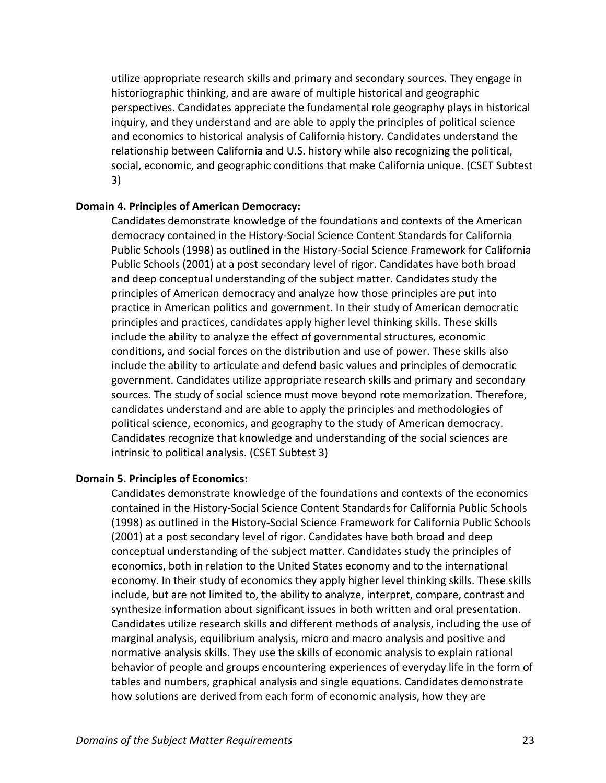utilize appropriate research skills and primary and secondary sources. They engage in historiographic thinking, and are aware of multiple historical and geographic perspectives. Candidates appreciate the fundamental role geography plays in historical inquiry, and they understand and are able to apply the principles of political science and economics to historical analysis of California history. Candidates understand the relationship between California and U.S. history while also recognizing the political, social, economic, and geographic conditions that make California unique. (CSET Subtest 3)

## **Domain 4. Principles of American Democracy:**

Candidates demonstrate knowledge of the foundations and contexts of the American democracy contained in the History-Social Science Content Standards for California Public Schools (1998) as outlined in the History-Social Science Framework for California Public Schools (2001) at a post secondary level of rigor. Candidates have both broad and deep conceptual understanding of the subject matter. Candidates study the principles of American democracy and analyze how those principles are put into practice in American politics and government. In their study of American democratic principles and practices, candidates apply higher level thinking skills. These skills include the ability to analyze the effect of governmental structures, economic conditions, and social forces on the distribution and use of power. These skills also include the ability to articulate and defend basic values and principles of democratic government. Candidates utilize appropriate research skills and primary and secondary sources. The study of social science must move beyond rote memorization. Therefore, candidates understand and are able to apply the principles and methodologies of political science, economics, and geography to the study of American democracy. Candidates recognize that knowledge and understanding of the social sciences are intrinsic to political analysis. (CSET Subtest 3)

#### **Domain 5. Principles of Economics:**

Candidates demonstrate knowledge of the foundations and contexts of the economics contained in the History-Social Science Content Standards for California Public Schools (1998) as outlined in the History-Social Science Framework for California Public Schools (2001) at a post secondary level of rigor. Candidates have both broad and deep conceptual understanding of the subject matter. Candidates study the principles of economics, both in relation to the United States economy and to the international economy. In their study of economics they apply higher level thinking skills. These skills include, but are not limited to, the ability to analyze, interpret, compare, contrast and synthesize information about significant issues in both written and oral presentation. Candidates utilize research skills and different methods of analysis, including the use of marginal analysis, equilibrium analysis, micro and macro analysis and positive and normative analysis skills. They use the skills of economic analysis to explain rational behavior of people and groups encountering experiences of everyday life in the form of tables and numbers, graphical analysis and single equations. Candidates demonstrate how solutions are derived from each form of economic analysis, how they are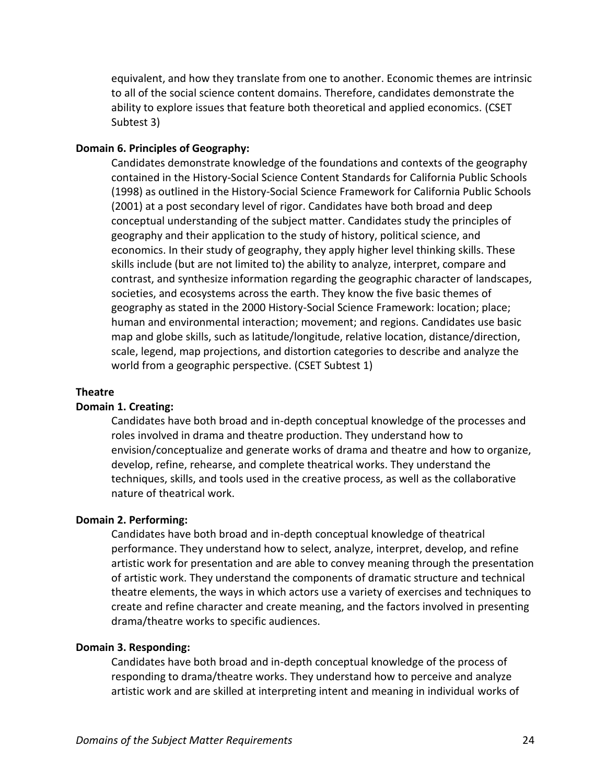equivalent, and how they translate from one to another. Economic themes are intrinsic to all of the social science content domains. Therefore, candidates demonstrate the ability to explore issues that feature both theoretical and applied economics. (CSET Subtest 3)

#### **Domain 6. Principles of Geography:**

Candidates demonstrate knowledge of the foundations and contexts of the geography contained in the History-Social Science Content Standards for California Public Schools (1998) as outlined in the History-Social Science Framework for California Public Schools (2001) at a post secondary level of rigor. Candidates have both broad and deep conceptual understanding of the subject matter. Candidates study the principles of geography and their application to the study of history, political science, and economics. In their study of geography, they apply higher level thinking skills. These skills include (but are not limited to) the ability to analyze, interpret, compare and contrast, and synthesize information regarding the geographic character of landscapes, societies, and ecosystems across the earth. They know the five basic themes of geography as stated in the 2000 History-Social Science Framework: location; place; human and environmental interaction; movement; and regions. Candidates use basic map and globe skills, such as latitude/longitude, relative location, distance/direction, scale, legend, map projections, and distortion categories to describe and analyze the world from a geographic perspective. (CSET Subtest 1)

#### <span id="page-24-0"></span>**Theatre**

#### **Domain 1. Creating:**

Candidates have both broad and in-depth conceptual knowledge of the processes and roles involved in drama and theatre production. They understand how to envision/conceptualize and generate works of drama and theatre and how to organize, develop, refine, rehearse, and complete theatrical works. They understand the techniques, skills, and tools used in the creative process, as well as the collaborative nature of theatrical work.

#### **Domain 2. Performing:**

Candidates have both broad and in-depth conceptual knowledge of theatrical performance. They understand how to select, analyze, interpret, develop, and refine artistic work for presentation and are able to convey meaning through the presentation of artistic work. They understand the components of dramatic structure and technical theatre elements, the ways in which actors use a variety of exercises and techniques to create and refine character and create meaning, and the factors involved in presenting drama/theatre works to specific audiences.

#### **Domain 3. Responding:**

Candidates have both broad and in-depth conceptual knowledge of the process of responding to drama/theatre works. They understand how to perceive and analyze artistic work and are skilled at interpreting intent and meaning in individual works of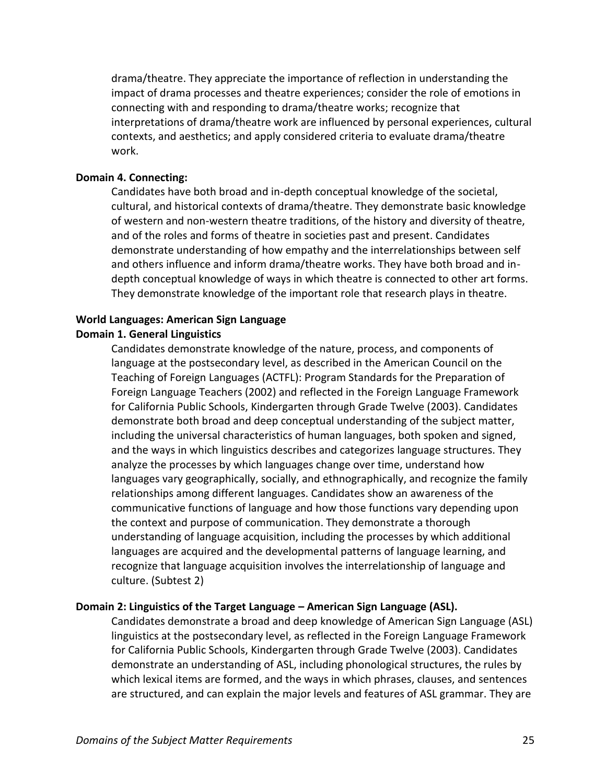drama/theatre. They appreciate the importance of reflection in understanding the impact of drama processes and theatre experiences; consider the role of emotions in connecting with and responding to drama/theatre works; recognize that interpretations of drama/theatre work are influenced by personal experiences, cultural contexts, and aesthetics; and apply considered criteria to evaluate drama/theatre work.

## **Domain 4. Connecting:**

Candidates have both broad and in-depth conceptual knowledge of the societal, cultural, and historical contexts of drama/theatre. They demonstrate basic knowledge of western and non-western theatre traditions, of the history and diversity of theatre, and of the roles and forms of theatre in societies past and present. Candidates demonstrate understanding of how empathy and the interrelationships between self and others influence and inform drama/theatre works. They have both broad and indepth conceptual knowledge of ways in which theatre is connected to other art forms. They demonstrate knowledge of the important role that research plays in theatre.

#### <span id="page-25-0"></span>**World Languages: American Sign Language Domain 1. General Linguistics**

Candidates demonstrate knowledge of the nature, process, and components of language at the postsecondary level, as described in the American Council on the Teaching of Foreign Languages (ACTFL): Program Standards for the Preparation of Foreign Language Teachers (2002) and reflected in the Foreign Language Framework for California Public Schools, Kindergarten through Grade Twelve (2003). Candidates demonstrate both broad and deep conceptual understanding of the subject matter, including the universal characteristics of human languages, both spoken and signed, and the ways in which linguistics describes and categorizes language structures. They analyze the processes by which languages change over time, understand how languages vary geographically, socially, and ethnographically, and recognize the family relationships among different languages. Candidates show an awareness of the communicative functions of language and how those functions vary depending upon the context and purpose of communication. They demonstrate a thorough understanding of language acquisition, including the processes by which additional languages are acquired and the developmental patterns of language learning, and recognize that language acquisition involves the interrelationship of language and culture. (Subtest 2)

## **Domain 2: Linguistics of the Target Language – American Sign Language (ASL).**

Candidates demonstrate a broad and deep knowledge of American Sign Language (ASL) linguistics at the postsecondary level, as reflected in the Foreign Language Framework for California Public Schools, Kindergarten through Grade Twelve (2003). Candidates demonstrate an understanding of ASL, including phonological structures, the rules by which lexical items are formed, and the ways in which phrases, clauses, and sentences are structured, and can explain the major levels and features of ASL grammar. They are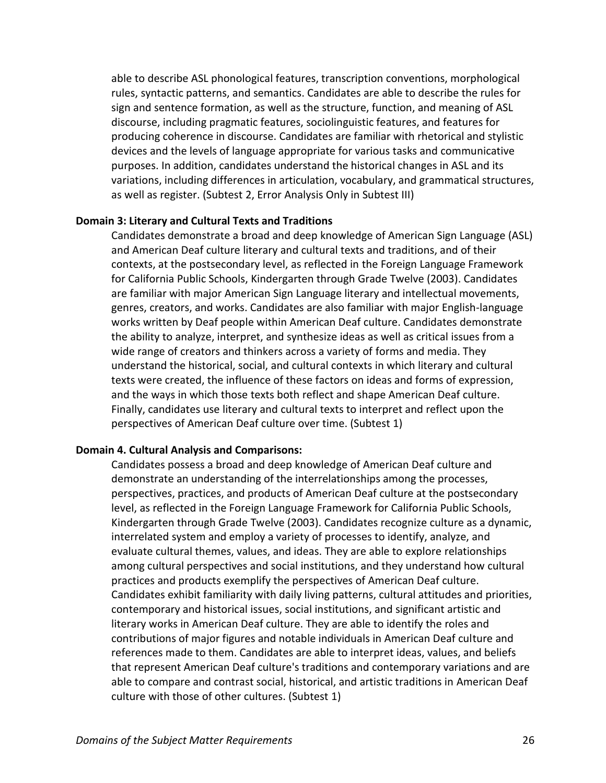able to describe ASL phonological features, transcription conventions, morphological rules, syntactic patterns, and semantics. Candidates are able to describe the rules for sign and sentence formation, as well as the structure, function, and meaning of ASL discourse, including pragmatic features, sociolinguistic features, and features for producing coherence in discourse. Candidates are familiar with rhetorical and stylistic devices and the levels of language appropriate for various tasks and communicative purposes. In addition, candidates understand the historical changes in ASL and its variations, including differences in articulation, vocabulary, and grammatical structures, as well as register. (Subtest 2, Error Analysis Only in Subtest III)

#### **Domain 3: Literary and Cultural Texts and Traditions**

Candidates demonstrate a broad and deep knowledge of American Sign Language (ASL) and American Deaf culture literary and cultural texts and traditions, and of their contexts, at the postsecondary level, as reflected in the Foreign Language Framework for California Public Schools, Kindergarten through Grade Twelve (2003). Candidates are familiar with major American Sign Language literary and intellectual movements, genres, creators, and works. Candidates are also familiar with major English-language works written by Deaf people within American Deaf culture. Candidates demonstrate the ability to analyze, interpret, and synthesize ideas as well as critical issues from a wide range of creators and thinkers across a variety of forms and media. They understand the historical, social, and cultural contexts in which literary and cultural texts were created, the influence of these factors on ideas and forms of expression, and the ways in which those texts both reflect and shape American Deaf culture. Finally, candidates use literary and cultural texts to interpret and reflect upon the perspectives of American Deaf culture over time. (Subtest 1)

#### **Domain 4. Cultural Analysis and Comparisons:**

Candidates possess a broad and deep knowledge of American Deaf culture and demonstrate an understanding of the interrelationships among the processes, perspectives, practices, and products of American Deaf culture at the postsecondary level, as reflected in the Foreign Language Framework for California Public Schools, Kindergarten through Grade Twelve (2003). Candidates recognize culture as a dynamic, interrelated system and employ a variety of processes to identify, analyze, and evaluate cultural themes, values, and ideas. They are able to explore relationships among cultural perspectives and social institutions, and they understand how cultural practices and products exemplify the perspectives of American Deaf culture. Candidates exhibit familiarity with daily living patterns, cultural attitudes and priorities, contemporary and historical issues, social institutions, and significant artistic and literary works in American Deaf culture. They are able to identify the roles and contributions of major figures and notable individuals in American Deaf culture and references made to them. Candidates are able to interpret ideas, values, and beliefs that represent American Deaf culture's traditions and contemporary variations and are able to compare and contrast social, historical, and artistic traditions in American Deaf culture with those of other cultures. (Subtest 1)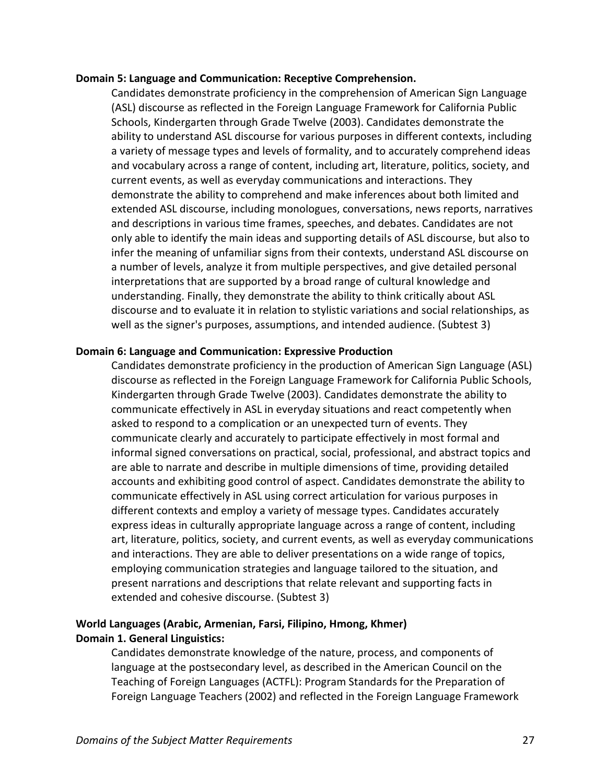#### **Domain 5: Language and Communication: Receptive Comprehension.**

Candidates demonstrate proficiency in the comprehension of American Sign Language (ASL) discourse as reflected in the Foreign Language Framework for California Public Schools, Kindergarten through Grade Twelve (2003). Candidates demonstrate the ability to understand ASL discourse for various purposes in different contexts, including a variety of message types and levels of formality, and to accurately comprehend ideas and vocabulary across a range of content, including art, literature, politics, society, and current events, as well as everyday communications and interactions. They demonstrate the ability to comprehend and make inferences about both limited and extended ASL discourse, including monologues, conversations, news reports, narratives and descriptions in various time frames, speeches, and debates. Candidates are not only able to identify the main ideas and supporting details of ASL discourse, but also to infer the meaning of unfamiliar signs from their contexts, understand ASL discourse on a number of levels, analyze it from multiple perspectives, and give detailed personal interpretations that are supported by a broad range of cultural knowledge and understanding. Finally, they demonstrate the ability to think critically about ASL discourse and to evaluate it in relation to stylistic variations and social relationships, as well as the signer's purposes, assumptions, and intended audience. (Subtest 3)

#### **Domain 6: Language and Communication: Expressive Production**

Candidates demonstrate proficiency in the production of American Sign Language (ASL) discourse as reflected in the Foreign Language Framework for California Public Schools, Kindergarten through Grade Twelve (2003). Candidates demonstrate the ability to communicate effectively in ASL in everyday situations and react competently when asked to respond to a complication or an unexpected turn of events. They communicate clearly and accurately to participate effectively in most formal and informal signed conversations on practical, social, professional, and abstract topics and are able to narrate and describe in multiple dimensions of time, providing detailed accounts and exhibiting good control of aspect. Candidates demonstrate the ability to communicate effectively in ASL using correct articulation for various purposes in different contexts and employ a variety of message types. Candidates accurately express ideas in culturally appropriate language across a range of content, including art, literature, politics, society, and current events, as well as everyday communications and interactions. They are able to deliver presentations on a wide range of topics, employing communication strategies and language tailored to the situation, and present narrations and descriptions that relate relevant and supporting facts in extended and cohesive discourse. (Subtest 3)

## <span id="page-27-0"></span>**World Languages (Arabic, Armenian, Farsi, Filipino, Hmong, Khmer) Domain 1. General Linguistics:**

Candidates demonstrate knowledge of the nature, process, and components of language at the postsecondary level, as described in the American Council on the Teaching of Foreign Languages (ACTFL): Program Standards for the Preparation of Foreign Language Teachers (2002) and reflected in the Foreign Language Framework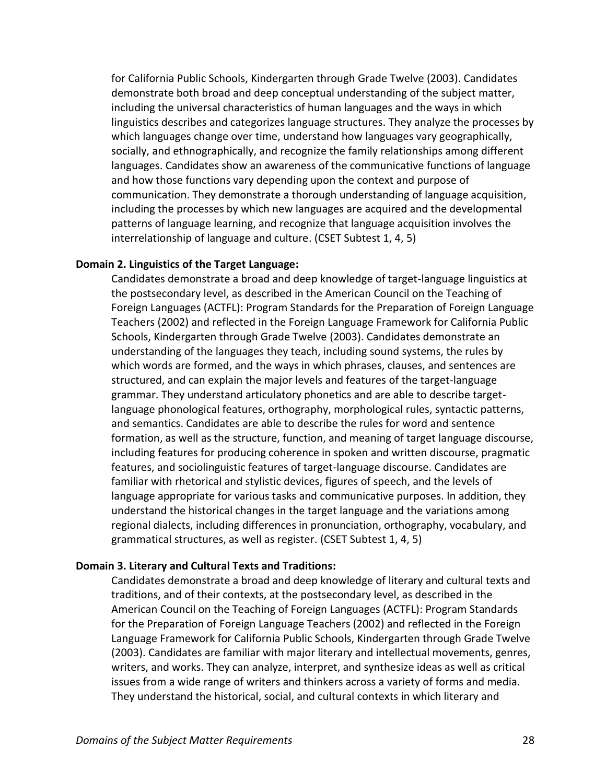for California Public Schools, Kindergarten through Grade Twelve (2003). Candidates demonstrate both broad and deep conceptual understanding of the subject matter, including the universal characteristics of human languages and the ways in which linguistics describes and categorizes language structures. They analyze the processes by which languages change over time, understand how languages vary geographically, socially, and ethnographically, and recognize the family relationships among different languages. Candidates show an awareness of the communicative functions of language and how those functions vary depending upon the context and purpose of communication. They demonstrate a thorough understanding of language acquisition, including the processes by which new languages are acquired and the developmental patterns of language learning, and recognize that language acquisition involves the interrelationship of language and culture. (CSET Subtest 1, 4, 5)

#### **Domain 2. Linguistics of the Target Language:**

Candidates demonstrate a broad and deep knowledge of target-language linguistics at the postsecondary level, as described in the American Council on the Teaching of Foreign Languages (ACTFL): Program Standards for the Preparation of Foreign Language Teachers (2002) and reflected in the Foreign Language Framework for California Public Schools, Kindergarten through Grade Twelve (2003). Candidates demonstrate an understanding of the languages they teach, including sound systems, the rules by which words are formed, and the ways in which phrases, clauses, and sentences are structured, and can explain the major levels and features of the target-language grammar. They understand articulatory phonetics and are able to describe targetlanguage phonological features, orthography, morphological rules, syntactic patterns, and semantics. Candidates are able to describe the rules for word and sentence formation, as well as the structure, function, and meaning of target language discourse, including features for producing coherence in spoken and written discourse, pragmatic features, and sociolinguistic features of target-language discourse. Candidates are familiar with rhetorical and stylistic devices, figures of speech, and the levels of language appropriate for various tasks and communicative purposes. In addition, they understand the historical changes in the target language and the variations among regional dialects, including differences in pronunciation, orthography, vocabulary, and grammatical structures, as well as register. (CSET Subtest 1, 4, 5)

## **Domain 3. Literary and Cultural Texts and Traditions:**

Candidates demonstrate a broad and deep knowledge of literary and cultural texts and traditions, and of their contexts, at the postsecondary level, as described in the American Council on the Teaching of Foreign Languages (ACTFL): Program Standards for the Preparation of Foreign Language Teachers (2002) and reflected in the Foreign Language Framework for California Public Schools, Kindergarten through Grade Twelve (2003). Candidates are familiar with major literary and intellectual movements, genres, writers, and works. They can analyze, interpret, and synthesize ideas as well as critical issues from a wide range of writers and thinkers across a variety of forms and media. They understand the historical, social, and cultural contexts in which literary and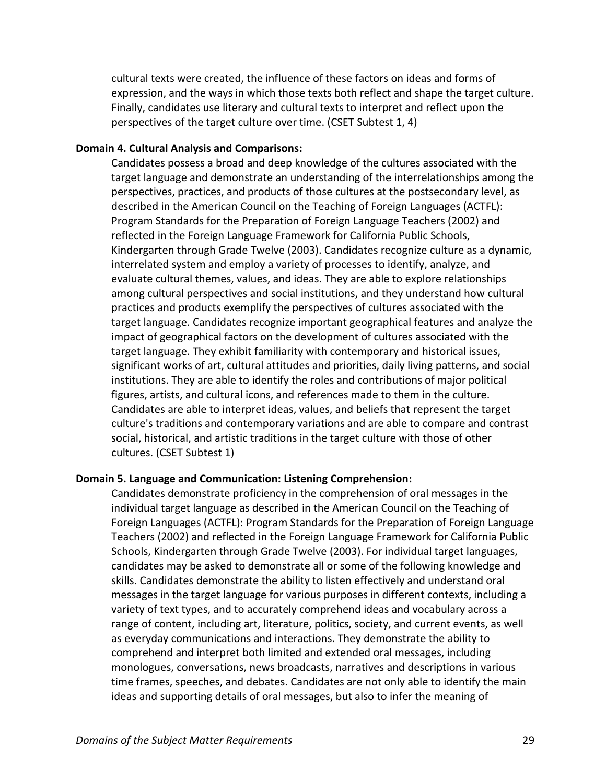cultural texts were created, the influence of these factors on ideas and forms of expression, and the ways in which those texts both reflect and shape the target culture. Finally, candidates use literary and cultural texts to interpret and reflect upon the perspectives of the target culture over time. (CSET Subtest 1, 4)

#### **Domain 4. Cultural Analysis and Comparisons:**

Candidates possess a broad and deep knowledge of the cultures associated with the target language and demonstrate an understanding of the interrelationships among the perspectives, practices, and products of those cultures at the postsecondary level, as described in the American Council on the Teaching of Foreign Languages (ACTFL): Program Standards for the Preparation of Foreign Language Teachers (2002) and reflected in the Foreign Language Framework for California Public Schools, Kindergarten through Grade Twelve (2003). Candidates recognize culture as a dynamic, interrelated system and employ a variety of processes to identify, analyze, and evaluate cultural themes, values, and ideas. They are able to explore relationships among cultural perspectives and social institutions, and they understand how cultural practices and products exemplify the perspectives of cultures associated with the target language. Candidates recognize important geographical features and analyze the impact of geographical factors on the development of cultures associated with the target language. They exhibit familiarity with contemporary and historical issues, significant works of art, cultural attitudes and priorities, daily living patterns, and social institutions. They are able to identify the roles and contributions of major political figures, artists, and cultural icons, and references made to them in the culture. Candidates are able to interpret ideas, values, and beliefs that represent the target culture's traditions and contemporary variations and are able to compare and contrast social, historical, and artistic traditions in the target culture with those of other cultures. (CSET Subtest 1)

#### **Domain 5. Language and Communication: Listening Comprehension:**

Candidates demonstrate proficiency in the comprehension of oral messages in the individual target language as described in the American Council on the Teaching of Foreign Languages (ACTFL): Program Standards for the Preparation of Foreign Language Teachers (2002) and reflected in the Foreign Language Framework for California Public Schools, Kindergarten through Grade Twelve (2003). For individual target languages, candidates may be asked to demonstrate all or some of the following knowledge and skills. Candidates demonstrate the ability to listen effectively and understand oral messages in the target language for various purposes in different contexts, including a variety of text types, and to accurately comprehend ideas and vocabulary across a range of content, including art, literature, politics, society, and current events, as well as everyday communications and interactions. They demonstrate the ability to comprehend and interpret both limited and extended oral messages, including monologues, conversations, news broadcasts, narratives and descriptions in various time frames, speeches, and debates. Candidates are not only able to identify the main ideas and supporting details of oral messages, but also to infer the meaning of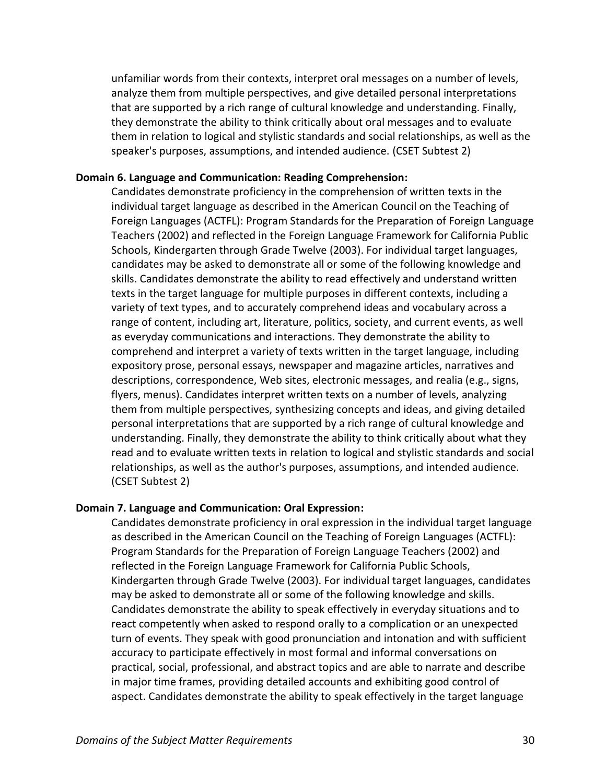unfamiliar words from their contexts, interpret oral messages on a number of levels, analyze them from multiple perspectives, and give detailed personal interpretations that are supported by a rich range of cultural knowledge and understanding. Finally, they demonstrate the ability to think critically about oral messages and to evaluate them in relation to logical and stylistic standards and social relationships, as well as the speaker's purposes, assumptions, and intended audience. (CSET Subtest 2)

## **Domain 6. Language and Communication: Reading Comprehension:**

Candidates demonstrate proficiency in the comprehension of written texts in the individual target language as described in the American Council on the Teaching of Foreign Languages (ACTFL): Program Standards for the Preparation of Foreign Language Teachers (2002) and reflected in the Foreign Language Framework for California Public Schools, Kindergarten through Grade Twelve (2003). For individual target languages, candidates may be asked to demonstrate all or some of the following knowledge and skills. Candidates demonstrate the ability to read effectively and understand written texts in the target language for multiple purposes in different contexts, including a variety of text types, and to accurately comprehend ideas and vocabulary across a range of content, including art, literature, politics, society, and current events, as well as everyday communications and interactions. They demonstrate the ability to comprehend and interpret a variety of texts written in the target language, including expository prose, personal essays, newspaper and magazine articles, narratives and descriptions, correspondence, Web sites, electronic messages, and realia (e.g., signs, flyers, menus). Candidates interpret written texts on a number of levels, analyzing them from multiple perspectives, synthesizing concepts and ideas, and giving detailed personal interpretations that are supported by a rich range of cultural knowledge and understanding. Finally, they demonstrate the ability to think critically about what they read and to evaluate written texts in relation to logical and stylistic standards and social relationships, as well as the author's purposes, assumptions, and intended audience. (CSET Subtest 2)

#### **Domain 7. Language and Communication: Oral Expression:**

Candidates demonstrate proficiency in oral expression in the individual target language as described in the American Council on the Teaching of Foreign Languages (ACTFL): Program Standards for the Preparation of Foreign Language Teachers (2002) and reflected in the Foreign Language Framework for California Public Schools, Kindergarten through Grade Twelve (2003). For individual target languages, candidates may be asked to demonstrate all or some of the following knowledge and skills. Candidates demonstrate the ability to speak effectively in everyday situations and to react competently when asked to respond orally to a complication or an unexpected turn of events. They speak with good pronunciation and intonation and with sufficient accuracy to participate effectively in most formal and informal conversations on practical, social, professional, and abstract topics and are able to narrate and describe in major time frames, providing detailed accounts and exhibiting good control of aspect. Candidates demonstrate the ability to speak effectively in the target language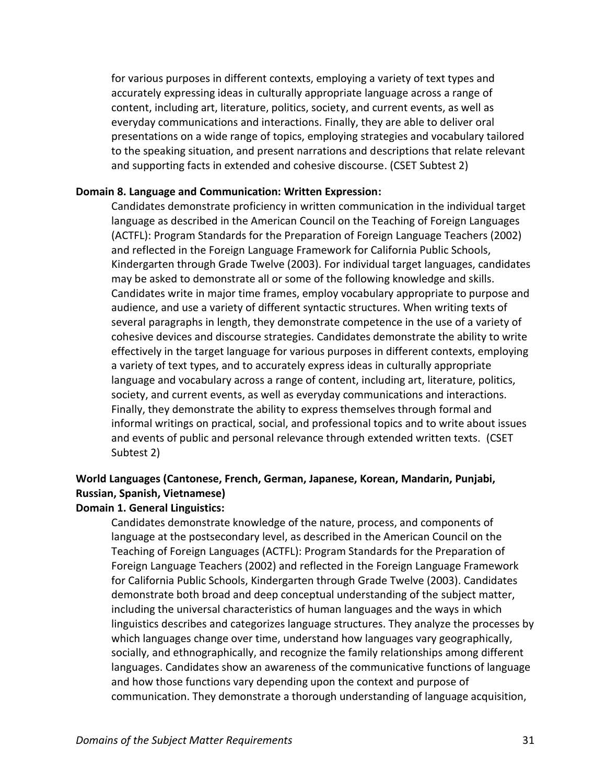for various purposes in different contexts, employing a variety of text types and accurately expressing ideas in culturally appropriate language across a range of content, including art, literature, politics, society, and current events, as well as everyday communications and interactions. Finally, they are able to deliver oral presentations on a wide range of topics, employing strategies and vocabulary tailored to the speaking situation, and present narrations and descriptions that relate relevant and supporting facts in extended and cohesive discourse. (CSET Subtest 2)

#### **Domain 8. Language and Communication: Written Expression:**

Candidates demonstrate proficiency in written communication in the individual target language as described in the American Council on the Teaching of Foreign Languages (ACTFL): Program Standards for the Preparation of Foreign Language Teachers (2002) and reflected in the Foreign Language Framework for California Public Schools, Kindergarten through Grade Twelve (2003). For individual target languages, candidates may be asked to demonstrate all or some of the following knowledge and skills. Candidates write in major time frames, employ vocabulary appropriate to purpose and audience, and use a variety of different syntactic structures. When writing texts of several paragraphs in length, they demonstrate competence in the use of a variety of cohesive devices and discourse strategies. Candidates demonstrate the ability to write effectively in the target language for various purposes in different contexts, employing a variety of text types, and to accurately express ideas in culturally appropriate language and vocabulary across a range of content, including art, literature, politics, society, and current events, as well as everyday communications and interactions. Finally, they demonstrate the ability to express themselves through formal and informal writings on practical, social, and professional topics and to write about issues and events of public and personal relevance through extended written texts. (CSET Subtest 2)

## <span id="page-31-0"></span>**World Languages (Cantonese, French, German, Japanese, Korean, Mandarin, Punjabi, Russian, Spanish, Vietnamese)**

## **Domain 1. General Linguistics:**

Candidates demonstrate knowledge of the nature, process, and components of language at the postsecondary level, as described in the American Council on the Teaching of Foreign Languages (ACTFL): Program Standards for the Preparation of Foreign Language Teachers (2002) and reflected in the Foreign Language Framework for California Public Schools, Kindergarten through Grade Twelve (2003). Candidates demonstrate both broad and deep conceptual understanding of the subject matter, including the universal characteristics of human languages and the ways in which linguistics describes and categorizes language structures. They analyze the processes by which languages change over time, understand how languages vary geographically, socially, and ethnographically, and recognize the family relationships among different languages. Candidates show an awareness of the communicative functions of language and how those functions vary depending upon the context and purpose of communication. They demonstrate a thorough understanding of language acquisition,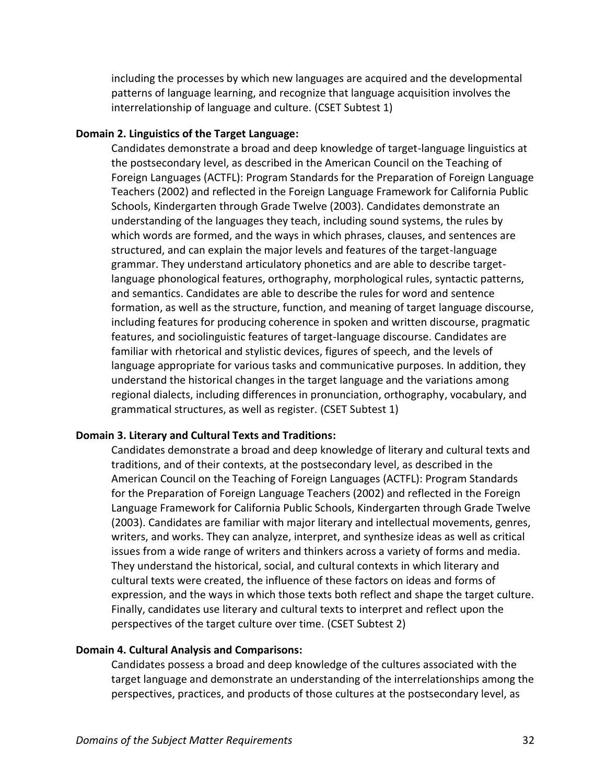including the processes by which new languages are acquired and the developmental patterns of language learning, and recognize that language acquisition involves the interrelationship of language and culture. (CSET Subtest 1)

#### **Domain 2. Linguistics of the Target Language:**

Candidates demonstrate a broad and deep knowledge of target-language linguistics at the postsecondary level, as described in the American Council on the Teaching of Foreign Languages (ACTFL): Program Standards for the Preparation of Foreign Language Teachers (2002) and reflected in the Foreign Language Framework for California Public Schools, Kindergarten through Grade Twelve (2003). Candidates demonstrate an understanding of the languages they teach, including sound systems, the rules by which words are formed, and the ways in which phrases, clauses, and sentences are structured, and can explain the major levels and features of the target-language grammar. They understand articulatory phonetics and are able to describe targetlanguage phonological features, orthography, morphological rules, syntactic patterns, and semantics. Candidates are able to describe the rules for word and sentence formation, as well as the structure, function, and meaning of target language discourse, including features for producing coherence in spoken and written discourse, pragmatic features, and sociolinguistic features of target-language discourse. Candidates are familiar with rhetorical and stylistic devices, figures of speech, and the levels of language appropriate for various tasks and communicative purposes. In addition, they understand the historical changes in the target language and the variations among regional dialects, including differences in pronunciation, orthography, vocabulary, and grammatical structures, as well as register. (CSET Subtest 1)

#### **Domain 3. Literary and Cultural Texts and Traditions:**

Candidates demonstrate a broad and deep knowledge of literary and cultural texts and traditions, and of their contexts, at the postsecondary level, as described in the American Council on the Teaching of Foreign Languages (ACTFL): Program Standards for the Preparation of Foreign Language Teachers (2002) and reflected in the Foreign Language Framework for California Public Schools, Kindergarten through Grade Twelve (2003). Candidates are familiar with major literary and intellectual movements, genres, writers, and works. They can analyze, interpret, and synthesize ideas as well as critical issues from a wide range of writers and thinkers across a variety of forms and media. They understand the historical, social, and cultural contexts in which literary and cultural texts were created, the influence of these factors on ideas and forms of expression, and the ways in which those texts both reflect and shape the target culture. Finally, candidates use literary and cultural texts to interpret and reflect upon the perspectives of the target culture over time. (CSET Subtest 2)

#### **Domain 4. Cultural Analysis and Comparisons:**

Candidates possess a broad and deep knowledge of the cultures associated with the target language and demonstrate an understanding of the interrelationships among the perspectives, practices, and products of those cultures at the postsecondary level, as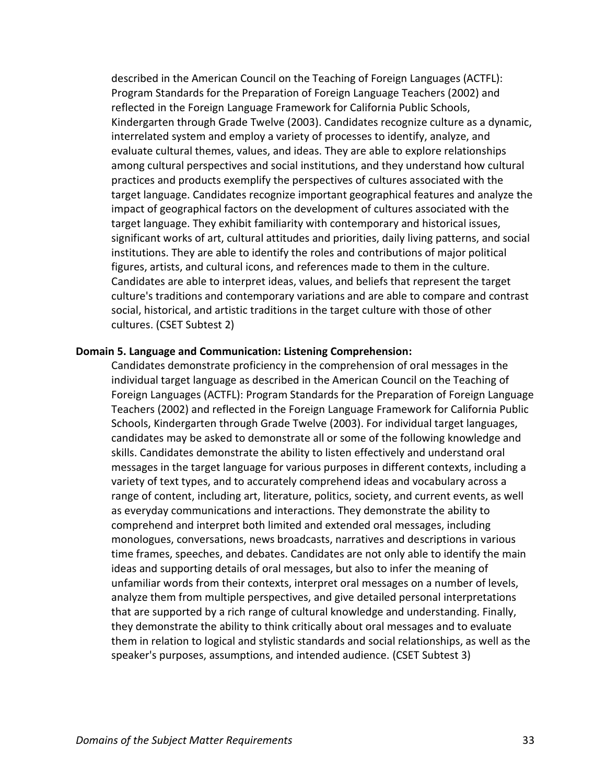described in the American Council on the Teaching of Foreign Languages (ACTFL): Program Standards for the Preparation of Foreign Language Teachers (2002) and reflected in the Foreign Language Framework for California Public Schools, Kindergarten through Grade Twelve (2003). Candidates recognize culture as a dynamic, interrelated system and employ a variety of processes to identify, analyze, and evaluate cultural themes, values, and ideas. They are able to explore relationships among cultural perspectives and social institutions, and they understand how cultural practices and products exemplify the perspectives of cultures associated with the target language. Candidates recognize important geographical features and analyze the impact of geographical factors on the development of cultures associated with the target language. They exhibit familiarity with contemporary and historical issues, significant works of art, cultural attitudes and priorities, daily living patterns, and social institutions. They are able to identify the roles and contributions of major political figures, artists, and cultural icons, and references made to them in the culture. Candidates are able to interpret ideas, values, and beliefs that represent the target culture's traditions and contemporary variations and are able to compare and contrast social, historical, and artistic traditions in the target culture with those of other cultures. (CSET Subtest 2)

#### **Domain 5. Language and Communication: Listening Comprehension:**

Candidates demonstrate proficiency in the comprehension of oral messages in the individual target language as described in the American Council on the Teaching of Foreign Languages (ACTFL): Program Standards for the Preparation of Foreign Language Teachers (2002) and reflected in the Foreign Language Framework for California Public Schools, Kindergarten through Grade Twelve (2003). For individual target languages, candidates may be asked to demonstrate all or some of the following knowledge and skills. Candidates demonstrate the ability to listen effectively and understand oral messages in the target language for various purposes in different contexts, including a variety of text types, and to accurately comprehend ideas and vocabulary across a range of content, including art, literature, politics, society, and current events, as well as everyday communications and interactions. They demonstrate the ability to comprehend and interpret both limited and extended oral messages, including monologues, conversations, news broadcasts, narratives and descriptions in various time frames, speeches, and debates. Candidates are not only able to identify the main ideas and supporting details of oral messages, but also to infer the meaning of unfamiliar words from their contexts, interpret oral messages on a number of levels, analyze them from multiple perspectives, and give detailed personal interpretations that are supported by a rich range of cultural knowledge and understanding. Finally, they demonstrate the ability to think critically about oral messages and to evaluate them in relation to logical and stylistic standards and social relationships, as well as the speaker's purposes, assumptions, and intended audience. (CSET Subtest 3)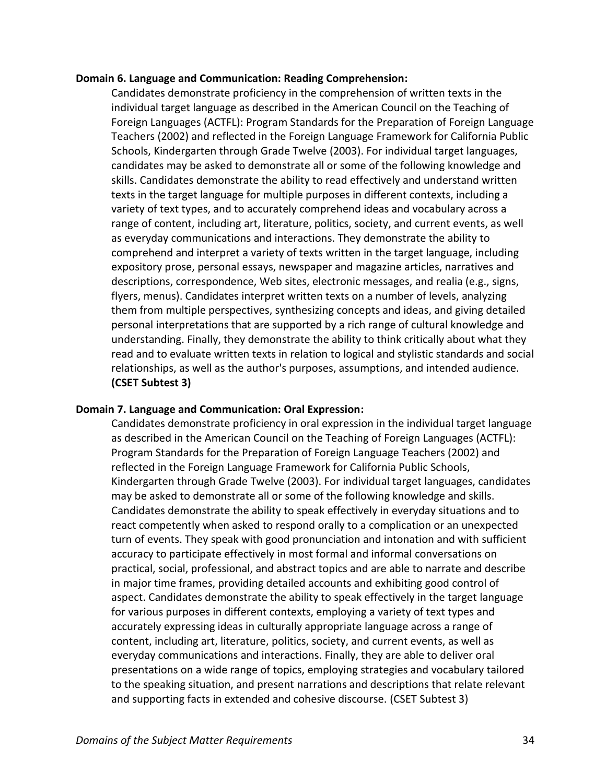#### **Domain 6. Language and Communication: Reading Comprehension:**

Candidates demonstrate proficiency in the comprehension of written texts in the individual target language as described in the American Council on the Teaching of Foreign Languages (ACTFL): Program Standards for the Preparation of Foreign Language Teachers (2002) and reflected in the Foreign Language Framework for California Public Schools, Kindergarten through Grade Twelve (2003). For individual target languages, candidates may be asked to demonstrate all or some of the following knowledge and skills. Candidates demonstrate the ability to read effectively and understand written texts in the target language for multiple purposes in different contexts, including a variety of text types, and to accurately comprehend ideas and vocabulary across a range of content, including art, literature, politics, society, and current events, as well as everyday communications and interactions. They demonstrate the ability to comprehend and interpret a variety of texts written in the target language, including expository prose, personal essays, newspaper and magazine articles, narratives and descriptions, correspondence, Web sites, electronic messages, and realia (e.g., signs, flyers, menus). Candidates interpret written texts on a number of levels, analyzing them from multiple perspectives, synthesizing concepts and ideas, and giving detailed personal interpretations that are supported by a rich range of cultural knowledge and understanding. Finally, they demonstrate the ability to think critically about what they read and to evaluate written texts in relation to logical and stylistic standards and social relationships, as well as the author's purposes, assumptions, and intended audience. **(CSET Subtest 3)**

#### **Domain 7. Language and Communication: Oral Expression:**

Candidates demonstrate proficiency in oral expression in the individual target language as described in the American Council on the Teaching of Foreign Languages (ACTFL): Program Standards for the Preparation of Foreign Language Teachers (2002) and reflected in the Foreign Language Framework for California Public Schools, Kindergarten through Grade Twelve (2003). For individual target languages, candidates may be asked to demonstrate all or some of the following knowledge and skills. Candidates demonstrate the ability to speak effectively in everyday situations and to react competently when asked to respond orally to a complication or an unexpected turn of events. They speak with good pronunciation and intonation and with sufficient accuracy to participate effectively in most formal and informal conversations on practical, social, professional, and abstract topics and are able to narrate and describe in major time frames, providing detailed accounts and exhibiting good control of aspect. Candidates demonstrate the ability to speak effectively in the target language for various purposes in different contexts, employing a variety of text types and accurately expressing ideas in culturally appropriate language across a range of content, including art, literature, politics, society, and current events, as well as everyday communications and interactions. Finally, they are able to deliver oral presentations on a wide range of topics, employing strategies and vocabulary tailored to the speaking situation, and present narrations and descriptions that relate relevant and supporting facts in extended and cohesive discourse. (CSET Subtest 3)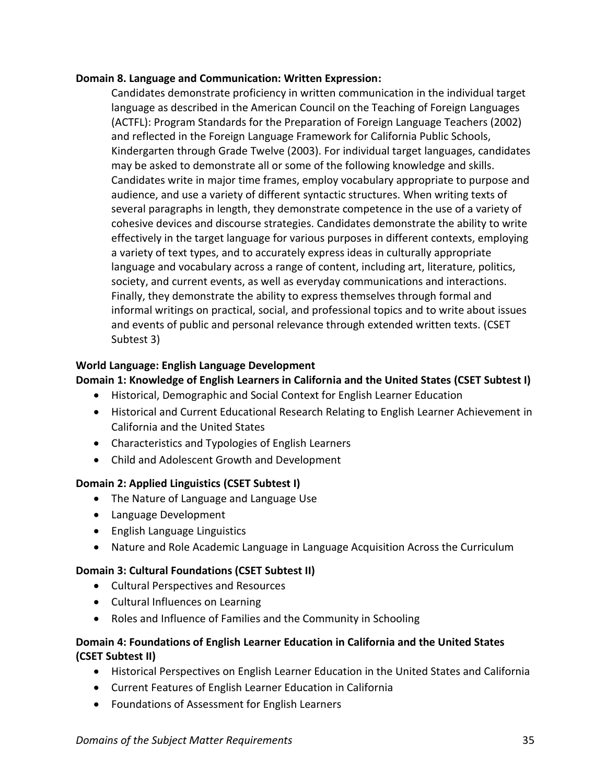## **Domain 8. Language and Communication: Written Expression:**

Candidates demonstrate proficiency in written communication in the individual target language as described in the American Council on the Teaching of Foreign Languages (ACTFL): Program Standards for the Preparation of Foreign Language Teachers (2002) and reflected in the Foreign Language Framework for California Public Schools, Kindergarten through Grade Twelve (2003). For individual target languages, candidates may be asked to demonstrate all or some of the following knowledge and skills. Candidates write in major time frames, employ vocabulary appropriate to purpose and audience, and use a variety of different syntactic structures. When writing texts of several paragraphs in length, they demonstrate competence in the use of a variety of cohesive devices and discourse strategies. Candidates demonstrate the ability to write effectively in the target language for various purposes in different contexts, employing a variety of text types, and to accurately express ideas in culturally appropriate language and vocabulary across a range of content, including art, literature, politics, society, and current events, as well as everyday communications and interactions. Finally, they demonstrate the ability to express themselves through formal and informal writings on practical, social, and professional topics and to write about issues and events of public and personal relevance through extended written texts. (CSET Subtest 3)

## <span id="page-35-0"></span>**World Language: English Language Development**

## **Domain 1: Knowledge of English Learners in California and the United States (CSET Subtest I)**

- Historical, Demographic and Social Context for English Learner Education
- Historical and Current Educational Research Relating to English Learner Achievement in California and the United States
- Characteristics and Typologies of English Learners
- Child and Adolescent Growth and Development

## **Domain 2: Applied Linguistics (CSET Subtest I)**

- The Nature of Language and Language Use
- Language Development
- English Language Linguistics
- Nature and Role Academic Language in Language Acquisition Across the Curriculum

## **Domain 3: Cultural Foundations (CSET Subtest II)**

- Cultural Perspectives and Resources
- Cultural Influences on Learning
- Roles and Influence of Families and the Community in Schooling

## **Domain 4: Foundations of English Learner Education in California and the United States (CSET Subtest II)**

- Historical Perspectives on English Learner Education in the United States and California
- Current Features of English Learner Education in California
- Foundations of Assessment for English Learners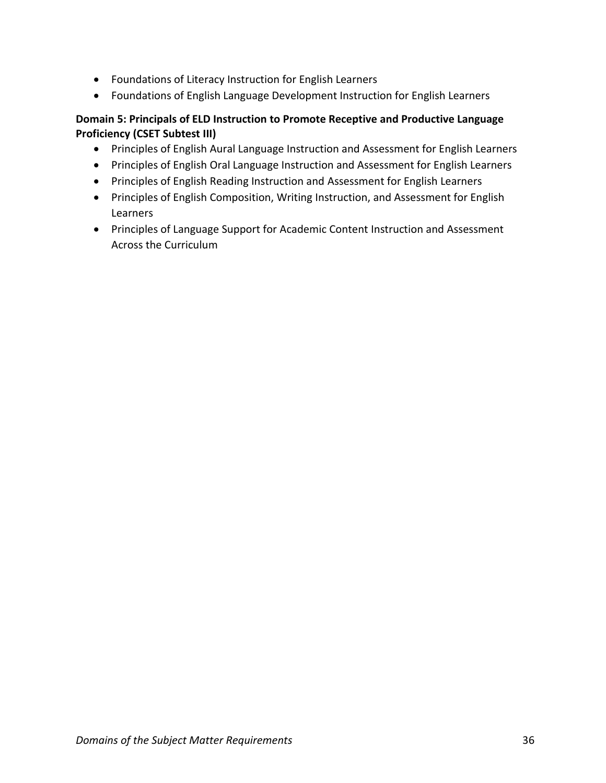- Foundations of Literacy Instruction for English Learners
- Foundations of English Language Development Instruction for English Learners

## **Domain 5: Principals of ELD Instruction to Promote Receptive and Productive Language Proficiency (CSET Subtest III)**

- Principles of English Aural Language Instruction and Assessment for English Learners
- Principles of English Oral Language Instruction and Assessment for English Learners
- Principles of English Reading Instruction and Assessment for English Learners
- Principles of English Composition, Writing Instruction, and Assessment for English Learners
- Principles of Language Support for Academic Content Instruction and Assessment Across the Curriculum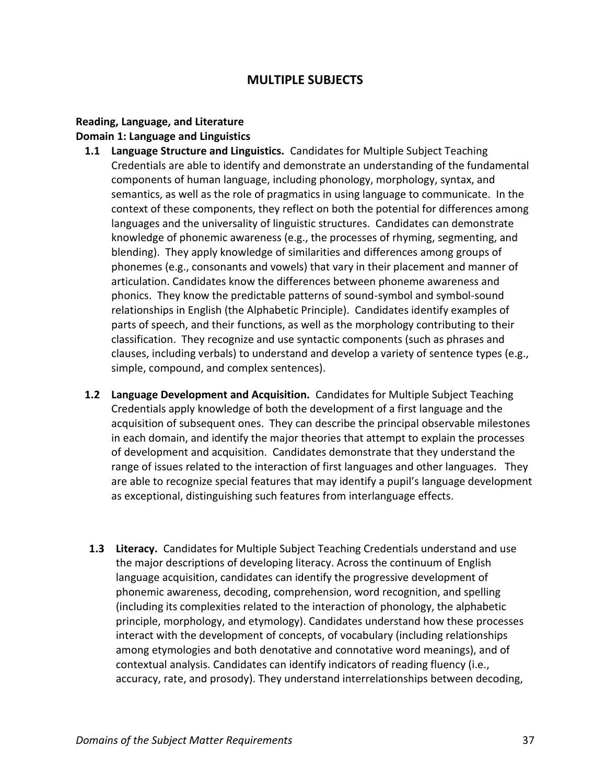## **MULTIPLE SUBJECTS**

## <span id="page-37-1"></span><span id="page-37-0"></span>**Reading, Language, and Literature Domain 1: Language and Linguistics**

- **1.1 Language Structure and Linguistics.** Candidates for Multiple Subject Teaching Credentials are able to identify and demonstrate an understanding of the fundamental components of human language, including phonology, morphology, syntax, and semantics, as well as the role of pragmatics in using language to communicate. In the context of these components, they reflect on both the potential for differences among languages and the universality of linguistic structures. Candidates can demonstrate knowledge of phonemic awareness (e.g., the processes of rhyming, segmenting, and blending). They apply knowledge of similarities and differences among groups of phonemes (e.g., consonants and vowels) that vary in their placement and manner of articulation. Candidates know the differences between phoneme awareness and phonics. They know the predictable patterns of sound-symbol and symbol-sound relationships in English (the Alphabetic Principle). Candidates identify examples of parts of speech, and their functions, as well as the morphology contributing to their classification. They recognize and use syntactic components (such as phrases and clauses, including verbals) to understand and develop a variety of sentence types (e.g., simple, compound, and complex sentences).
- **1.2 Language Development and Acquisition.** Candidates for Multiple Subject Teaching Credentials apply knowledge of both the development of a first language and the acquisition of subsequent ones. They can describe the principal observable milestones in each domain, and identify the major theories that attempt to explain the processes of development and acquisition. Candidates demonstrate that they understand the range of issues related to the interaction of first languages and other languages. They are able to recognize special features that may identify a pupil's language development as exceptional, distinguishing such features from interlanguage effects.
- **1.3 Literacy.** Candidates for Multiple Subject Teaching Credentials understand and use the major descriptions of developing literacy. Across the continuum of English language acquisition, candidates can identify the progressive development of phonemic awareness, decoding, comprehension, word recognition, and spelling (including its complexities related to the interaction of phonology, the alphabetic principle, morphology, and etymology). Candidates understand how these processes interact with the development of concepts, of vocabulary (including relationships among etymologies and both denotative and connotative word meanings), and of contextual analysis. Candidates can identify indicators of reading fluency (i.e., accuracy, rate, and prosody). They understand interrelationships between decoding,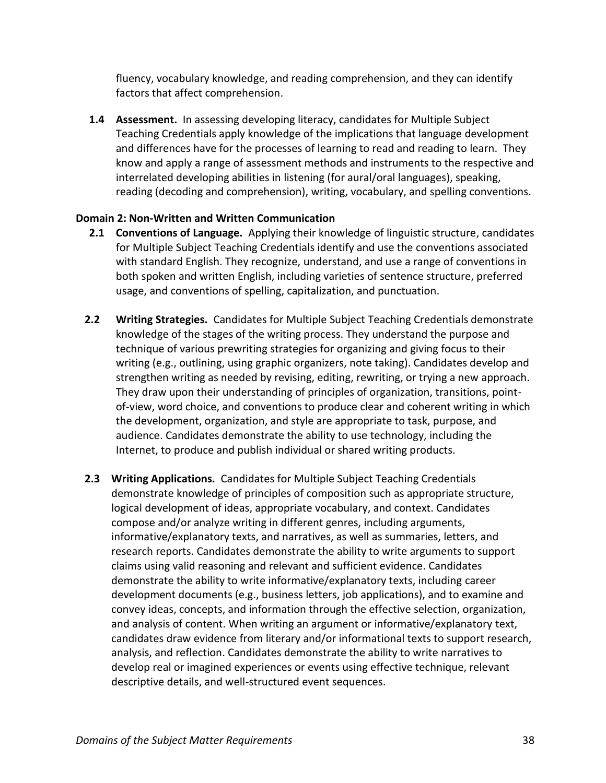fluency, vocabulary knowledge, and reading comprehension, and they can identify factors that affect comprehension.

**1.4 Assessment.** In assessing developing literacy, candidates for Multiple Subject Teaching Credentials apply knowledge of the implications that language development and differences have for the processes of learning to read and reading to learn. They know and apply a range of assessment methods and instruments to the respective and interrelated developing abilities in listening (for aural/oral languages), speaking, reading (decoding and comprehension), writing, vocabulary, and spelling conventions.

## **Domain 2: Non-Written and Written Communication**

- **2.1 Conventions of Language.** Applying their knowledge of linguistic structure, candidates for Multiple Subject Teaching Credentials identify and use the conventions associated with standard English. They recognize, understand, and use a range of conventions in both spoken and written English, including varieties of sentence structure, preferred usage, and conventions of spelling, capitalization, and punctuation.
- **2.2 Writing Strategies.** Candidates for Multiple Subject Teaching Credentials demonstrate knowledge of the stages of the writing process. They understand the purpose and technique of various prewriting strategies for organizing and giving focus to their writing (e.g., outlining, using graphic organizers, note taking). Candidates develop and strengthen writing as needed by revising, editing, rewriting, or trying a new approach. They draw upon their understanding of principles of organization, transitions, pointof-view, word choice, and conventions to produce clear and coherent writing in which the development, organization, and style are appropriate to task, purpose, and audience. Candidates demonstrate the ability to use technology, including the Internet, to produce and publish individual or shared writing products.
- **2.3 Writing Applications.** Candidates for Multiple Subject Teaching Credentials demonstrate knowledge of principles of composition such as appropriate structure, logical development of ideas, appropriate vocabulary, and context. Candidates compose and/or analyze writing in different genres, including arguments, informative/explanatory texts, and narratives, as well as summaries, letters, and research reports. Candidates demonstrate the ability to write arguments to support claims using valid reasoning and relevant and sufficient evidence. Candidates demonstrate the ability to write informative/explanatory texts, including career development documents (e.g., business letters, job applications), and to examine and convey ideas, concepts, and information through the effective selection, organization, and analysis of content. When writing an argument or informative/explanatory text, candidates draw evidence from literary and/or informational texts to support research, analysis, and reflection. Candidates demonstrate the ability to write narratives to develop real or imagined experiences or events using effective technique, relevant descriptive details, and well-structured event sequences.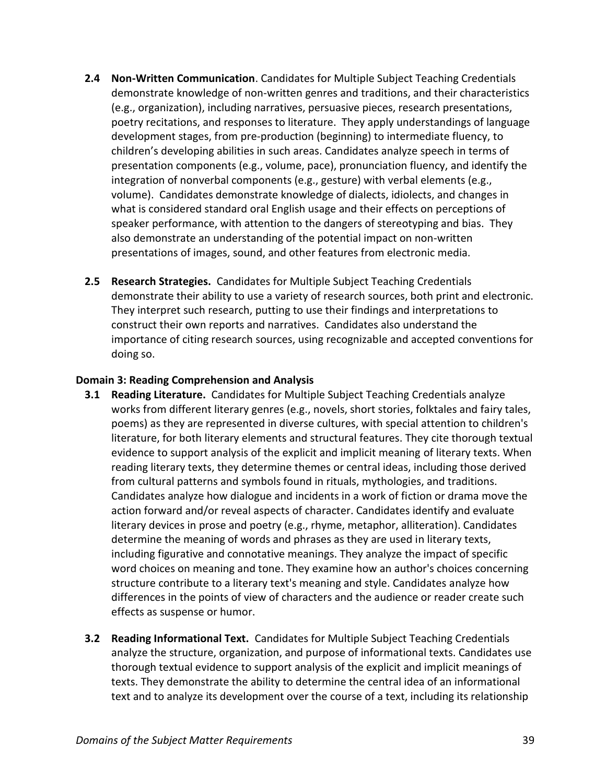- **2.4 Non-Written Communication**. Candidates for Multiple Subject Teaching Credentials demonstrate knowledge of non-written genres and traditions, and their characteristics (e.g., organization), including narratives, persuasive pieces, research presentations, poetry recitations, and responses to literature. They apply understandings of language development stages, from pre-production (beginning) to intermediate fluency, to children's developing abilities in such areas. Candidates analyze speech in terms of presentation components (e.g., volume, pace), pronunciation fluency, and identify the integration of nonverbal components (e.g., gesture) with verbal elements (e.g., volume). Candidates demonstrate knowledge of dialects, idiolects, and changes in what is considered standard oral English usage and their effects on perceptions of speaker performance, with attention to the dangers of stereotyping and bias. They also demonstrate an understanding of the potential impact on non-written presentations of images, sound, and other features from electronic media.
- **2.5 Research Strategies.** Candidates for Multiple Subject Teaching Credentials demonstrate their ability to use a variety of research sources, both print and electronic. They interpret such research, putting to use their findings and interpretations to construct their own reports and narratives. Candidates also understand the importance of citing research sources, using recognizable and accepted conventions for doing so.

## **Domain 3: Reading Comprehension and Analysis**

- **3.1 Reading Literature.** Candidates for Multiple Subject Teaching Credentials analyze works from different literary genres (e.g., novels, short stories, folktales and fairy tales, poems) as they are represented in diverse cultures, with special attention to children's literature, for both literary elements and structural features. They cite thorough textual evidence to support analysis of the explicit and implicit meaning of literary texts. When reading literary texts, they determine themes or central ideas, including those derived from cultural patterns and symbols found in rituals, mythologies, and traditions. Candidates analyze how dialogue and incidents in a work of fiction or drama move the action forward and/or reveal aspects of character. Candidates identify and evaluate literary devices in prose and poetry (e.g., rhyme, metaphor, alliteration). Candidates determine the meaning of words and phrases as they are used in literary texts, including figurative and connotative meanings. They analyze the impact of specific word choices on meaning and tone. They examine how an author's choices concerning structure contribute to a literary text's meaning and style. Candidates analyze how differences in the points of view of characters and the audience or reader create such effects as suspense or humor.
- **3.2 Reading Informational Text.** Candidates for Multiple Subject Teaching Credentials analyze the structure, organization, and purpose of informational texts. Candidates use thorough textual evidence to support analysis of the explicit and implicit meanings of texts. They demonstrate the ability to determine the central idea of an informational text and to analyze its development over the course of a text, including its relationship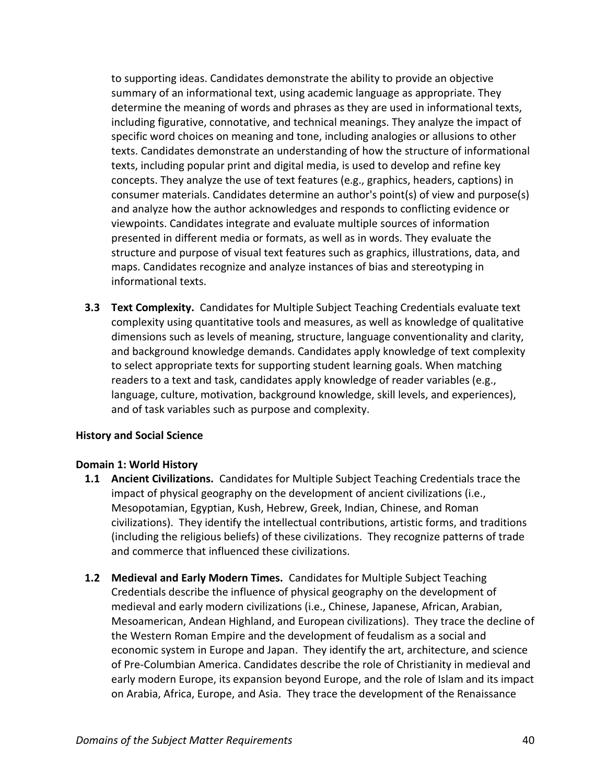to supporting ideas. Candidates demonstrate the ability to provide an objective summary of an informational text, using academic language as appropriate. They determine the meaning of words and phrases as they are used in informational texts, including figurative, connotative, and technical meanings. They analyze the impact of specific word choices on meaning and tone, including analogies or allusions to other texts. Candidates demonstrate an understanding of how the structure of informational texts, including popular print and digital media, is used to develop and refine key concepts. They analyze the use of text features (e.g., graphics, headers, captions) in consumer materials. Candidates determine an author's point(s) of view and purpose(s) and analyze how the author acknowledges and responds to conflicting evidence or viewpoints. Candidates integrate and evaluate multiple sources of information presented in different media or formats, as well as in words. They evaluate the structure and purpose of visual text features such as graphics, illustrations, data, and maps. Candidates recognize and analyze instances of bias and stereotyping in informational texts.

**3.3 Text Complexity.** Candidates for Multiple Subject Teaching Credentials evaluate text complexity using quantitative tools and measures, as well as knowledge of qualitative dimensions such as levels of meaning, structure, language conventionality and clarity, and background knowledge demands. Candidates apply knowledge of text complexity to select appropriate texts for supporting student learning goals. When matching readers to a text and task, candidates apply knowledge of reader variables (e.g., language, culture, motivation, background knowledge, skill levels, and experiences), and of task variables such as purpose and complexity.

## <span id="page-40-0"></span>**History and Social Science**

## **Domain 1: World History**

- **1.1 Ancient Civilizations.** Candidates for Multiple Subject Teaching Credentials trace the impact of physical geography on the development of ancient civilizations (i.e., Mesopotamian, Egyptian, Kush, Hebrew, Greek, Indian, Chinese, and Roman civilizations). They identify the intellectual contributions, artistic forms, and traditions (including the religious beliefs) of these civilizations. They recognize patterns of trade and commerce that influenced these civilizations.
- **1.2 Medieval and Early Modern Times.** Candidates for Multiple Subject Teaching Credentials describe the influence of physical geography on the development of medieval and early modern civilizations (i.e., Chinese, Japanese, African, Arabian, Mesoamerican, Andean Highland, and European civilizations). They trace the decline of the Western Roman Empire and the development of feudalism as a social and economic system in Europe and Japan. They identify the art, architecture, and science of Pre-Columbian America. Candidates describe the role of Christianity in medieval and early modern Europe, its expansion beyond Europe, and the role of Islam and its impact on Arabia, Africa, Europe, and Asia. They trace the development of the Renaissance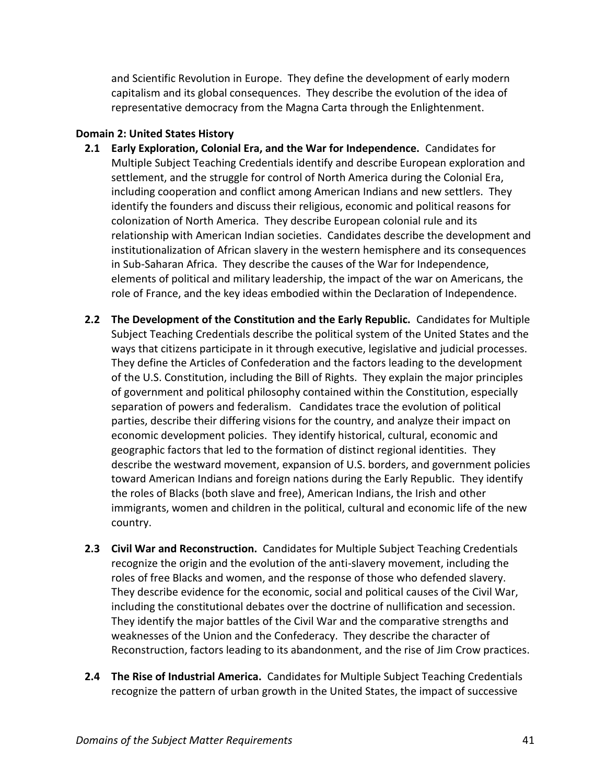and Scientific Revolution in Europe. They define the development of early modern capitalism and its global consequences. They describe the evolution of the idea of representative democracy from the Magna Carta through the Enlightenment.

## **Domain 2: United States History**

- **2.1 Early Exploration, Colonial Era, and the War for Independence.** Candidates for Multiple Subject Teaching Credentials identify and describe European exploration and settlement, and the struggle for control of North America during the Colonial Era, including cooperation and conflict among American Indians and new settlers. They identify the founders and discuss their religious, economic and political reasons for colonization of North America. They describe European colonial rule and its relationship with American Indian societies. Candidates describe the development and institutionalization of African slavery in the western hemisphere and its consequences in Sub-Saharan Africa. They describe the causes of the War for Independence, elements of political and military leadership, the impact of the war on Americans, the role of France, and the key ideas embodied within the Declaration of Independence.
- **2.2 The Development of the Constitution and the Early Republic.** Candidates for Multiple Subject Teaching Credentials describe the political system of the United States and the ways that citizens participate in it through executive, legislative and judicial processes. They define the Articles of Confederation and the factors leading to the development of the U.S. Constitution, including the Bill of Rights. They explain the major principles of government and political philosophy contained within the Constitution, especially separation of powers and federalism. Candidates trace the evolution of political parties, describe their differing visions for the country, and analyze their impact on economic development policies. They identify historical, cultural, economic and geographic factors that led to the formation of distinct regional identities. They describe the westward movement, expansion of U.S. borders, and government policies toward American Indians and foreign nations during the Early Republic. They identify the roles of Blacks (both slave and free), American Indians, the Irish and other immigrants, women and children in the political, cultural and economic life of the new country.
- **2.3 Civil War and Reconstruction.** Candidates for Multiple Subject Teaching Credentials recognize the origin and the evolution of the anti-slavery movement, including the roles of free Blacks and women, and the response of those who defended slavery. They describe evidence for the economic, social and political causes of the Civil War, including the constitutional debates over the doctrine of nullification and secession. They identify the major battles of the Civil War and the comparative strengths and weaknesses of the Union and the Confederacy. They describe the character of Reconstruction, factors leading to its abandonment, and the rise of Jim Crow practices.
- **2.4 The Rise of Industrial America.** Candidates for Multiple Subject Teaching Credentials recognize the pattern of urban growth in the United States, the impact of successive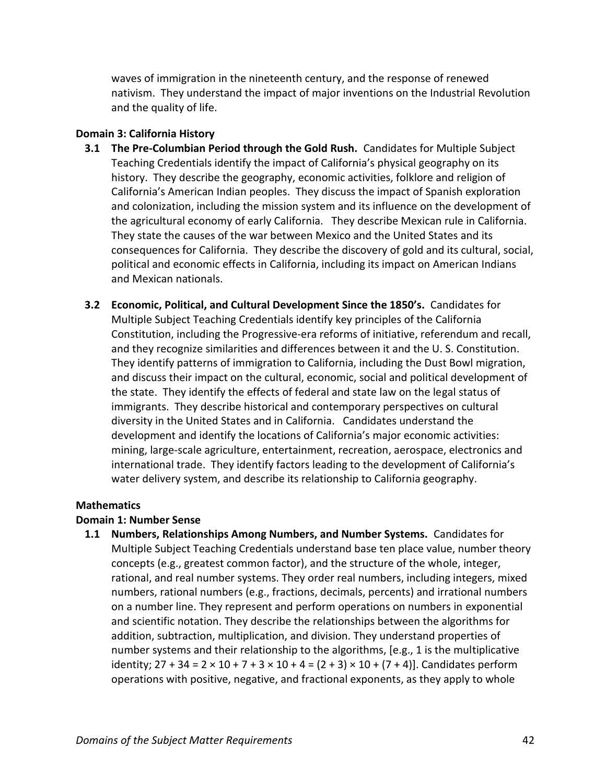waves of immigration in the nineteenth century, and the response of renewed nativism. They understand the impact of major inventions on the Industrial Revolution and the quality of life.

#### **Domain 3: California History**

- **3.1 The Pre-Columbian Period through the Gold Rush.** Candidates for Multiple Subject Teaching Credentials identify the impact of California's physical geography on its history. They describe the geography, economic activities, folklore and religion of California's American Indian peoples. They discuss the impact of Spanish exploration and colonization, including the mission system and its influence on the development of the agricultural economy of early California. They describe Mexican rule in California. They state the causes of the war between Mexico and the United States and its consequences for California. They describe the discovery of gold and its cultural, social, political and economic effects in California, including its impact on American Indians and Mexican nationals.
- **3.2 Economic, Political, and Cultural Development Since the 1850's.** Candidates for Multiple Subject Teaching Credentials identify key principles of the California Constitution, including the Progressive-era reforms of initiative, referendum and recall, and they recognize similarities and differences between it and the U. S. Constitution. They identify patterns of immigration to California, including the Dust Bowl migration, and discuss their impact on the cultural, economic, social and political development of the state. They identify the effects of federal and state law on the legal status of immigrants. They describe historical and contemporary perspectives on cultural diversity in the United States and in California. Candidates understand the development and identify the locations of California's major economic activities: mining, large-scale agriculture, entertainment, recreation, aerospace, electronics and international trade. They identify factors leading to the development of California's water delivery system, and describe its relationship to California geography.

## <span id="page-42-0"></span>**Mathematics**

#### **Domain 1: Number Sense**

**1.1 Numbers, Relationships Among Numbers, and Number Systems.** Candidates for Multiple Subject Teaching Credentials understand base ten place value, number theory concepts (e.g., greatest common factor), and the structure of the whole, integer, rational, and real number systems. They order real numbers, including integers, mixed numbers, rational numbers (e.g., fractions, decimals, percents) and irrational numbers on a number line. They represent and perform operations on numbers in exponential and scientific notation. They describe the relationships between the algorithms for addition, subtraction, multiplication, and division. They understand properties of number systems and their relationship to the algorithms, [e.g., 1 is the multiplicative identity;  $27 + 34 = 2 \times 10 + 7 + 3 \times 10 + 4 = (2 + 3) \times 10 + (7 + 4)$ . Candidates perform operations with positive, negative, and fractional exponents, as they apply to whole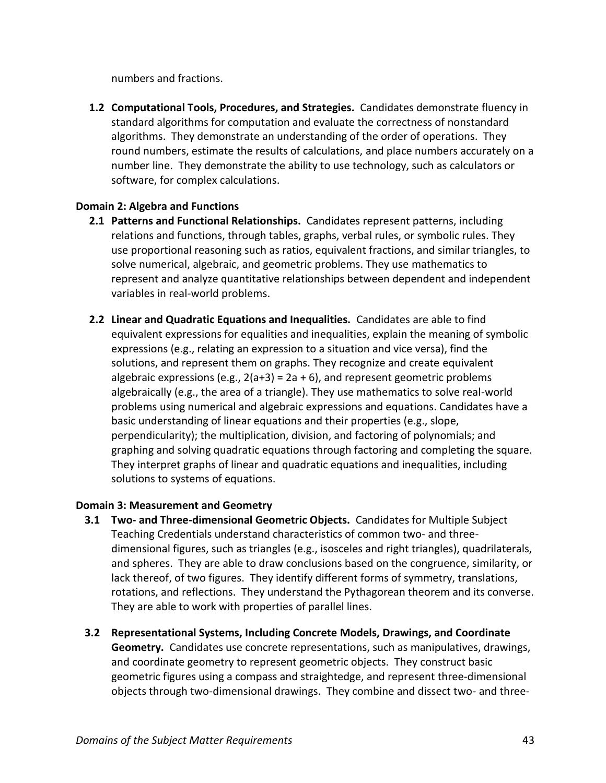numbers and fractions.

**1.2 Computational Tools, Procedures, and Strategies.** Candidates demonstrate fluency in standard algorithms for computation and evaluate the correctness of nonstandard algorithms. They demonstrate an understanding of the order of operations. They round numbers, estimate the results of calculations, and place numbers accurately on a number line. They demonstrate the ability to use technology, such as calculators or software, for complex calculations.

## **Domain 2: Algebra and Functions**

- **2.1 Patterns and Functional Relationships.** Candidates represent patterns, including relations and functions, through tables, graphs, verbal rules, or symbolic rules. They use proportional reasoning such as ratios, equivalent fractions, and similar triangles, to solve numerical, algebraic, and geometric problems. They use mathematics to represent and analyze quantitative relationships between dependent and independent variables in real-world problems.
- **2.2 Linear and Quadratic Equations and Inequalities.** Candidates are able to find equivalent expressions for equalities and inequalities, explain the meaning of symbolic expressions (e.g., relating an expression to a situation and vice versa), find the solutions, and represent them on graphs. They recognize and create equivalent algebraic expressions (e.g.,  $2(a+3) = 2a + 6$ ), and represent geometric problems algebraically (e.g., the area of a triangle). They use mathematics to solve real-world problems using numerical and algebraic expressions and equations. Candidates have a basic understanding of linear equations and their properties (e.g., slope, perpendicularity); the multiplication, division, and factoring of polynomials; and graphing and solving quadratic equations through factoring and completing the square. They interpret graphs of linear and quadratic equations and inequalities, including solutions to systems of equations.

## **Domain 3: Measurement and Geometry**

- **3.1 Two- and Three-dimensional Geometric Objects.** Candidates for Multiple Subject Teaching Credentials understand characteristics of common two- and threedimensional figures, such as triangles (e.g., isosceles and right triangles), quadrilaterals, and spheres. They are able to draw conclusions based on the congruence, similarity, or lack thereof, of two figures. They identify different forms of symmetry, translations, rotations, and reflections. They understand the Pythagorean theorem and its converse. They are able to work with properties of parallel lines.
- **3.2 Representational Systems, Including Concrete Models, Drawings, and Coordinate Geometry.** Candidates use concrete representations, such as manipulatives, drawings, and coordinate geometry to represent geometric objects. They construct basic geometric figures using a compass and straightedge, and represent three-dimensional objects through two-dimensional drawings. They combine and dissect two- and three-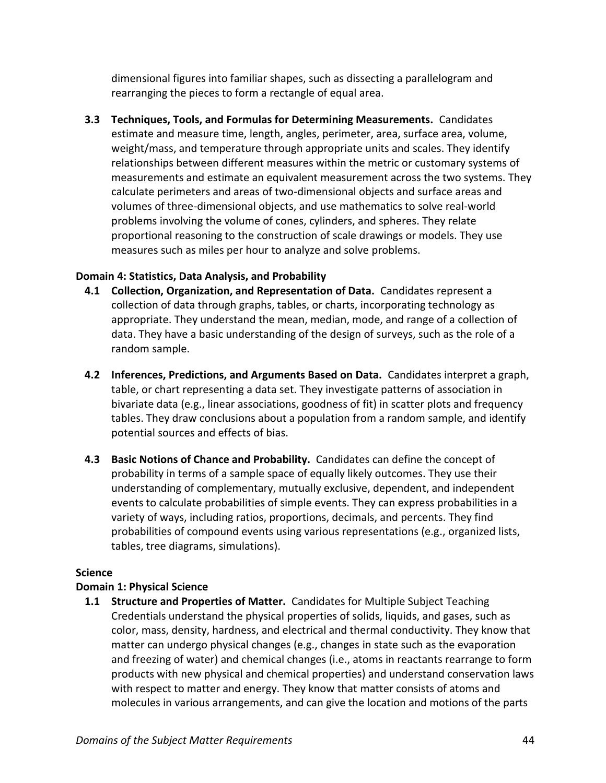dimensional figures into familiar shapes, such as dissecting a parallelogram and rearranging the pieces to form a rectangle of equal area.

**3.3 Techniques, Tools, and Formulas for Determining Measurements.** Candidates estimate and measure time, length, angles, perimeter, area, surface area, volume, weight/mass, and temperature through appropriate units and scales. They identify relationships between different measures within the metric or customary systems of measurements and estimate an equivalent measurement across the two systems. They calculate perimeters and areas of two-dimensional objects and surface areas and volumes of three-dimensional objects, and use mathematics to solve real-world problems involving the volume of cones, cylinders, and spheres. They relate proportional reasoning to the construction of scale drawings or models. They use measures such as miles per hour to analyze and solve problems.

## **Domain 4: Statistics, Data Analysis, and Probability**

- **4.1 Collection, Organization, and Representation of Data.** Candidates represent a collection of data through graphs, tables, or charts, incorporating technology as appropriate. They understand the mean, median, mode, and range of a collection of data. They have a basic understanding of the design of surveys, such as the role of a random sample.
- **4.2 Inferences, Predictions, and Arguments Based on Data.** Candidates interpret a graph, table, or chart representing a data set. They investigate patterns of association in bivariate data (e.g., linear associations, goodness of fit) in scatter plots and frequency tables. They draw conclusions about a population from a random sample, and identify potential sources and effects of bias.
- **4.3 Basic Notions of Chance and Probability.** Candidates can define the concept of probability in terms of a sample space of equally likely outcomes. They use their understanding of complementary, mutually exclusive, dependent, and independent events to calculate probabilities of simple events. They can express probabilities in a variety of ways, including ratios, proportions, decimals, and percents. They find probabilities of compound events using various representations (e.g., organized lists, tables, tree diagrams, simulations).

## <span id="page-44-0"></span>**Science**

## **Domain 1: Physical Science**

**1.1 Structure and Properties of Matter.** Candidates for Multiple Subject Teaching Credentials understand the physical properties of solids, liquids, and gases, such as color, mass, density, hardness, and electrical and thermal conductivity. They know that matter can undergo physical changes (e.g., changes in state such as the evaporation and freezing of water) and chemical changes (i.e., atoms in reactants rearrange to form products with new physical and chemical properties) and understand conservation laws with respect to matter and energy. They know that matter consists of atoms and molecules in various arrangements, and can give the location and motions of the parts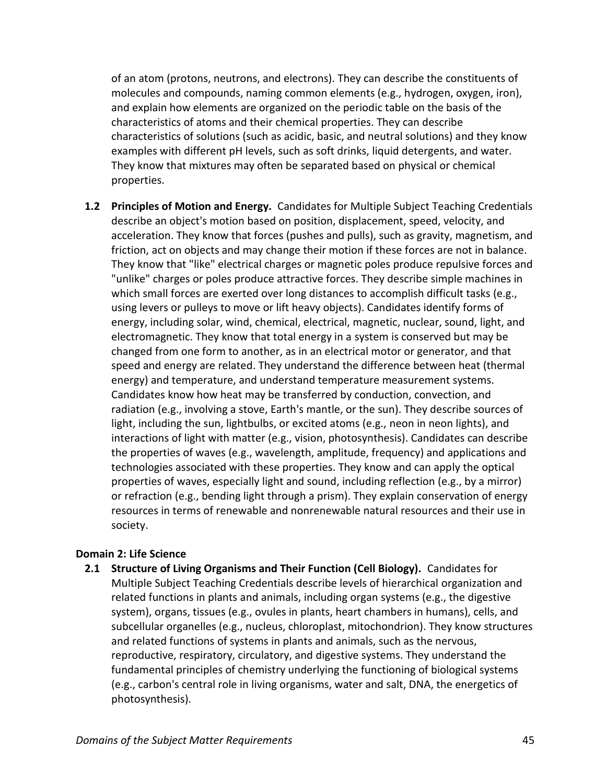of an atom (protons, neutrons, and electrons). They can describe the constituents of molecules and compounds, naming common elements (e.g., hydrogen, oxygen, iron), and explain how elements are organized on the periodic table on the basis of the characteristics of atoms and their chemical properties. They can describe characteristics of solutions (such as acidic, basic, and neutral solutions) and they know examples with different pH levels, such as soft drinks, liquid detergents, and water. They know that mixtures may often be separated based on physical or chemical properties.

**1.2 Principles of Motion and Energy.** Candidates for Multiple Subject Teaching Credentials describe an object's motion based on position, displacement, speed, velocity, and acceleration. They know that forces (pushes and pulls), such as gravity, magnetism, and friction, act on objects and may change their motion if these forces are not in balance. They know that "like" electrical charges or magnetic poles produce repulsive forces and "unlike" charges or poles produce attractive forces. They describe simple machines in which small forces are exerted over long distances to accomplish difficult tasks (e.g., using levers or pulleys to move or lift heavy objects). Candidates identify forms of energy, including solar, wind, chemical, electrical, magnetic, nuclear, sound, light, and electromagnetic. They know that total energy in a system is conserved but may be changed from one form to another, as in an electrical motor or generator, and that speed and energy are related. They understand the difference between heat (thermal energy) and temperature, and understand temperature measurement systems. Candidates know how heat may be transferred by conduction, convection, and radiation (e.g., involving a stove, Earth's mantle, or the sun). They describe sources of light, including the sun, lightbulbs, or excited atoms (e.g., neon in neon lights), and interactions of light with matter (e.g., vision, photosynthesis). Candidates can describe the properties of waves (e.g., wavelength, amplitude, frequency) and applications and technologies associated with these properties. They know and can apply the optical properties of waves, especially light and sound, including reflection (e.g., by a mirror) or refraction (e.g., bending light through a prism). They explain conservation of energy resources in terms of renewable and nonrenewable natural resources and their use in society.

## **Domain 2: Life Science**

**2.1 Structure of Living Organisms and Their Function (Cell Biology).** Candidates for Multiple Subject Teaching Credentials describe levels of hierarchical organization and related functions in plants and animals, including organ systems (e.g., the digestive system), organs, tissues (e.g., ovules in plants, heart chambers in humans), cells, and subcellular organelles (e.g., nucleus, chloroplast, mitochondrion). They know structures and related functions of systems in plants and animals, such as the nervous, reproductive, respiratory, circulatory, and digestive systems. They understand the fundamental principles of chemistry underlying the functioning of biological systems (e.g., carbon's central role in living organisms, water and salt, DNA, the energetics of photosynthesis).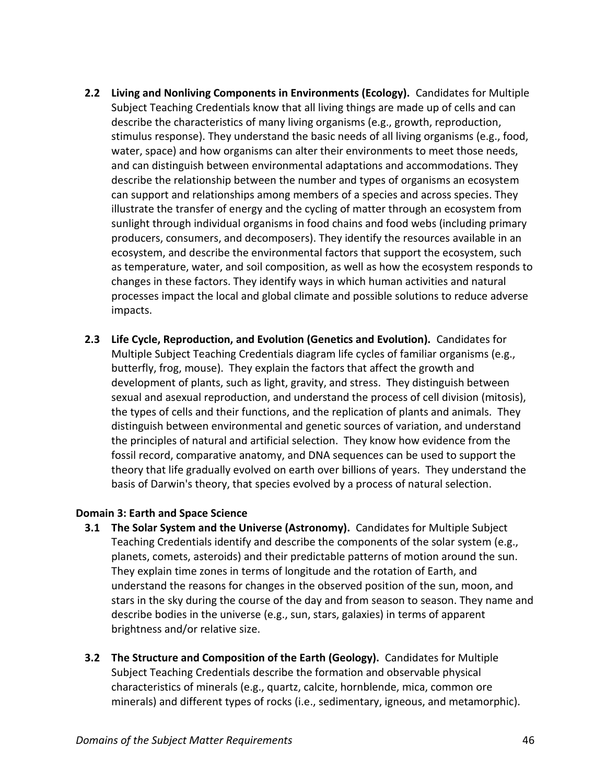- **2.2 Living and Nonliving Components in Environments (Ecology).** Candidates for Multiple Subject Teaching Credentials know that all living things are made up of cells and can describe the characteristics of many living organisms (e.g., growth, reproduction, stimulus response). They understand the basic needs of all living organisms (e.g., food, water, space) and how organisms can alter their environments to meet those needs, and can distinguish between environmental adaptations and accommodations. They describe the relationship between the number and types of organisms an ecosystem can support and relationships among members of a species and across species. They illustrate the transfer of energy and the cycling of matter through an ecosystem from sunlight through individual organisms in food chains and food webs (including primary producers, consumers, and decomposers). They identify the resources available in an ecosystem, and describe the environmental factors that support the ecosystem, such as temperature, water, and soil composition, as well as how the ecosystem responds to changes in these factors. They identify ways in which human activities and natural processes impact the local and global climate and possible solutions to reduce adverse impacts.
- **2.3 Life Cycle, Reproduction, and Evolution (Genetics and Evolution).** Candidates for Multiple Subject Teaching Credentials diagram life cycles of familiar organisms (e.g., butterfly, frog, mouse). They explain the factors that affect the growth and development of plants, such as light, gravity, and stress. They distinguish between sexual and asexual reproduction, and understand the process of cell division (mitosis), the types of cells and their functions, and the replication of plants and animals. They distinguish between environmental and genetic sources of variation, and understand the principles of natural and artificial selection. They know how evidence from the fossil record, comparative anatomy, and DNA sequences can be used to support the theory that life gradually evolved on earth over billions of years. They understand the basis of Darwin's theory, that species evolved by a process of natural selection.

## **Domain 3: Earth and Space Science**

- **3.1 The Solar System and the Universe (Astronomy).** Candidates for Multiple Subject Teaching Credentials identify and describe the components of the solar system (e.g., planets, comets, asteroids) and their predictable patterns of motion around the sun. They explain time zones in terms of longitude and the rotation of Earth, and understand the reasons for changes in the observed position of the sun, moon, and stars in the sky during the course of the day and from season to season. They name and describe bodies in the universe (e.g., sun, stars, galaxies) in terms of apparent brightness and/or relative size.
- **3.2 The Structure and Composition of the Earth (Geology).** Candidates for Multiple Subject Teaching Credentials describe the formation and observable physical characteristics of minerals (e.g., quartz, calcite, hornblende, mica, common ore minerals) and different types of rocks (i.e., sedimentary, igneous, and metamorphic).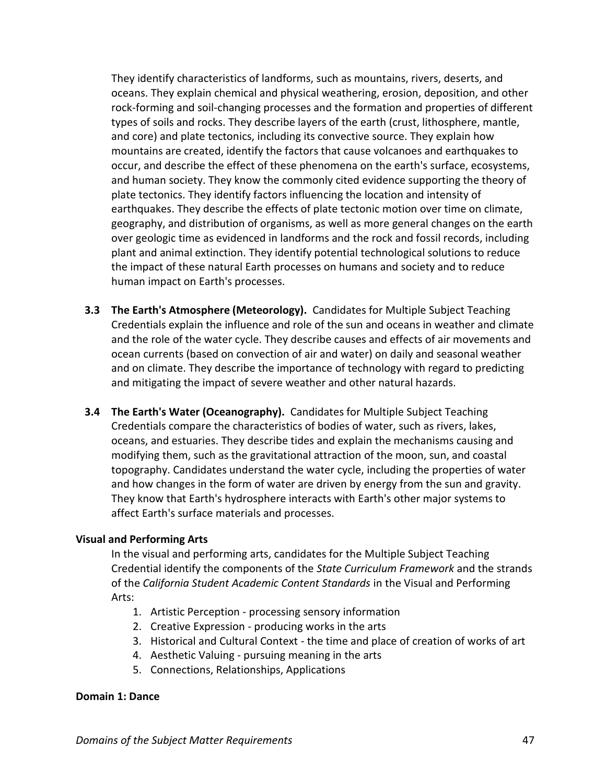They identify characteristics of landforms, such as mountains, rivers, deserts, and oceans. They explain chemical and physical weathering, erosion, deposition, and other rock-forming and soil-changing processes and the formation and properties of different types of soils and rocks. They describe layers of the earth (crust, lithosphere, mantle, and core) and plate tectonics, including its convective source. They explain how mountains are created, identify the factors that cause volcanoes and earthquakes to occur, and describe the effect of these phenomena on the earth's surface, ecosystems, and human society. They know the commonly cited evidence supporting the theory of plate tectonics. They identify factors influencing the location and intensity of earthquakes. They describe the effects of plate tectonic motion over time on climate, geography, and distribution of organisms, as well as more general changes on the earth over geologic time as evidenced in landforms and the rock and fossil records, including plant and animal extinction. They identify potential technological solutions to reduce the impact of these natural Earth processes on humans and society and to reduce human impact on Earth's processes.

- **3.3 The Earth's Atmosphere (Meteorology).** Candidates for Multiple Subject Teaching Credentials explain the influence and role of the sun and oceans in weather and climate and the role of the water cycle. They describe causes and effects of air movements and ocean currents (based on convection of air and water) on daily and seasonal weather and on climate. They describe the importance of technology with regard to predicting and mitigating the impact of severe weather and other natural hazards.
- **3.4 The Earth's Water (Oceanography).** Candidates for Multiple Subject Teaching Credentials compare the characteristics of bodies of water, such as rivers, lakes, oceans, and estuaries. They describe tides and explain the mechanisms causing and modifying them, such as the gravitational attraction of the moon, sun, and coastal topography. Candidates understand the water cycle, including the properties of water and how changes in the form of water are driven by energy from the sun and gravity. They know that Earth's hydrosphere interacts with Earth's other major systems to affect Earth's surface materials and processes.

## <span id="page-47-0"></span>**Visual and Performing Arts**

In the visual and performing arts, candidates for the Multiple Subject Teaching Credential identify the components of the *State Curriculum Framework* and the strands of the *California Student Academic Content Standards* in the Visual and Performing Arts:

- 1. Artistic Perception processing sensory information
- 2. Creative Expression producing works in the arts
- 3. Historical and Cultural Context the time and place of creation of works of art
- 4. Aesthetic Valuing pursuing meaning in the arts
- 5. Connections, Relationships, Applications

## **Domain 1: Dance**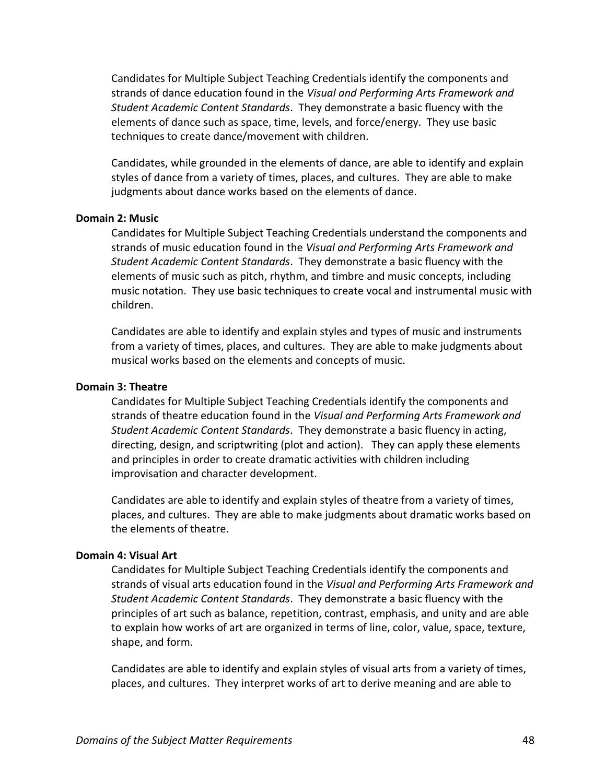Candidates for Multiple Subject Teaching Credentials identify the components and strands of dance education found in the *Visual and Performing Arts Framework and Student Academic Content Standards*. They demonstrate a basic fluency with the elements of dance such as space, time, levels, and force/energy. They use basic techniques to create dance/movement with children.

Candidates, while grounded in the elements of dance, are able to identify and explain styles of dance from a variety of times, places, and cultures. They are able to make judgments about dance works based on the elements of dance.

## **Domain 2: Music**

Candidates for Multiple Subject Teaching Credentials understand the components and strands of music education found in the *Visual and Performing Arts Framework and Student Academic Content Standards*. They demonstrate a basic fluency with the elements of music such as pitch, rhythm, and timbre and music concepts, including music notation. They use basic techniques to create vocal and instrumental music with children.

Candidates are able to identify and explain styles and types of music and instruments from a variety of times, places, and cultures. They are able to make judgments about musical works based on the elements and concepts of music.

#### **Domain 3: Theatre**

Candidates for Multiple Subject Teaching Credentials identify the components and strands of theatre education found in the *Visual and Performing Arts Framework and Student Academic Content Standards*. They demonstrate a basic fluency in acting, directing, design, and scriptwriting (plot and action). They can apply these elements and principles in order to create dramatic activities with children including improvisation and character development.

Candidates are able to identify and explain styles of theatre from a variety of times, places, and cultures. They are able to make judgments about dramatic works based on the elements of theatre.

## **Domain 4: Visual Art**

Candidates for Multiple Subject Teaching Credentials identify the components and strands of visual arts education found in the *Visual and Performing Arts Framework and Student Academic Content Standards*. They demonstrate a basic fluency with the principles of art such as balance, repetition, contrast, emphasis, and unity and are able to explain how works of art are organized in terms of line, color, value, space, texture, shape, and form.

Candidates are able to identify and explain styles of visual arts from a variety of times, places, and cultures. They interpret works of art to derive meaning and are able to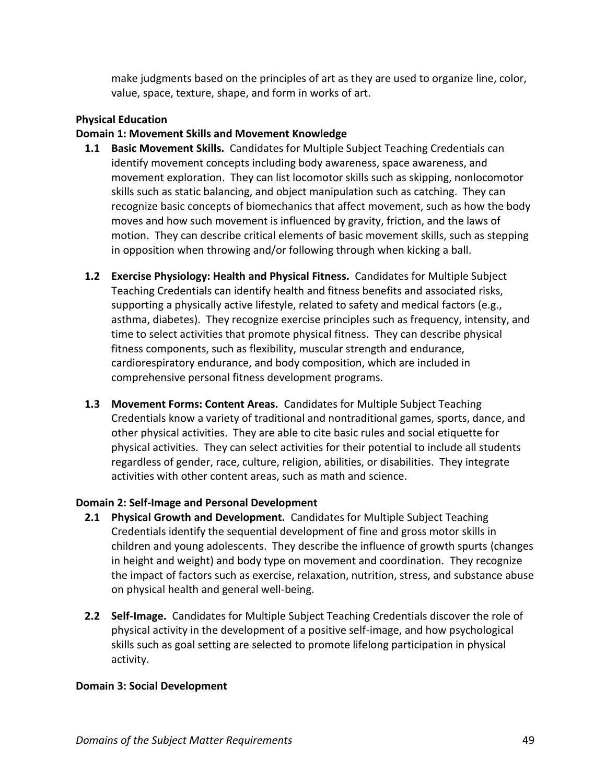make judgments based on the principles of art as they are used to organize line, color, value, space, texture, shape, and form in works of art.

## <span id="page-49-0"></span>**Physical Education**

## **Domain 1: Movement Skills and Movement Knowledge**

- **1.1 Basic Movement Skills.** Candidates for Multiple Subject Teaching Credentials can identify movement concepts including body awareness, space awareness, and movement exploration. They can list locomotor skills such as skipping, nonlocomotor skills such as static balancing, and object manipulation such as catching. They can recognize basic concepts of biomechanics that affect movement, such as how the body moves and how such movement is influenced by gravity, friction, and the laws of motion. They can describe critical elements of basic movement skills, such as stepping in opposition when throwing and/or following through when kicking a ball.
- **1.2 Exercise Physiology: Health and Physical Fitness.** Candidates for Multiple Subject Teaching Credentials can identify health and fitness benefits and associated risks, supporting a physically active lifestyle, related to safety and medical factors (e.g., asthma, diabetes). They recognize exercise principles such as frequency, intensity, and time to select activities that promote physical fitness. They can describe physical fitness components, such as flexibility, muscular strength and endurance, cardiorespiratory endurance, and body composition, which are included in comprehensive personal fitness development programs.
- **1.3 Movement Forms: Content Areas.** Candidates for Multiple Subject Teaching Credentials know a variety of traditional and nontraditional games, sports, dance, and other physical activities. They are able to cite basic rules and social etiquette for physical activities. They can select activities for their potential to include all students regardless of gender, race, culture, religion, abilities, or disabilities. They integrate activities with other content areas, such as math and science.

## **Domain 2: Self-Image and Personal Development**

- **2.1 Physical Growth and Development.** Candidates for Multiple Subject Teaching Credentials identify the sequential development of fine and gross motor skills in children and young adolescents. They describe the influence of growth spurts (changes in height and weight) and body type on movement and coordination. They recognize the impact of factors such as exercise, relaxation, nutrition, stress, and substance abuse on physical health and general well-being.
- **2.2 Self-Image.** Candidates for Multiple Subject Teaching Credentials discover the role of physical activity in the development of a positive self-image, and how psychological skills such as goal setting are selected to promote lifelong participation in physical activity.

## **Domain 3: Social Development**